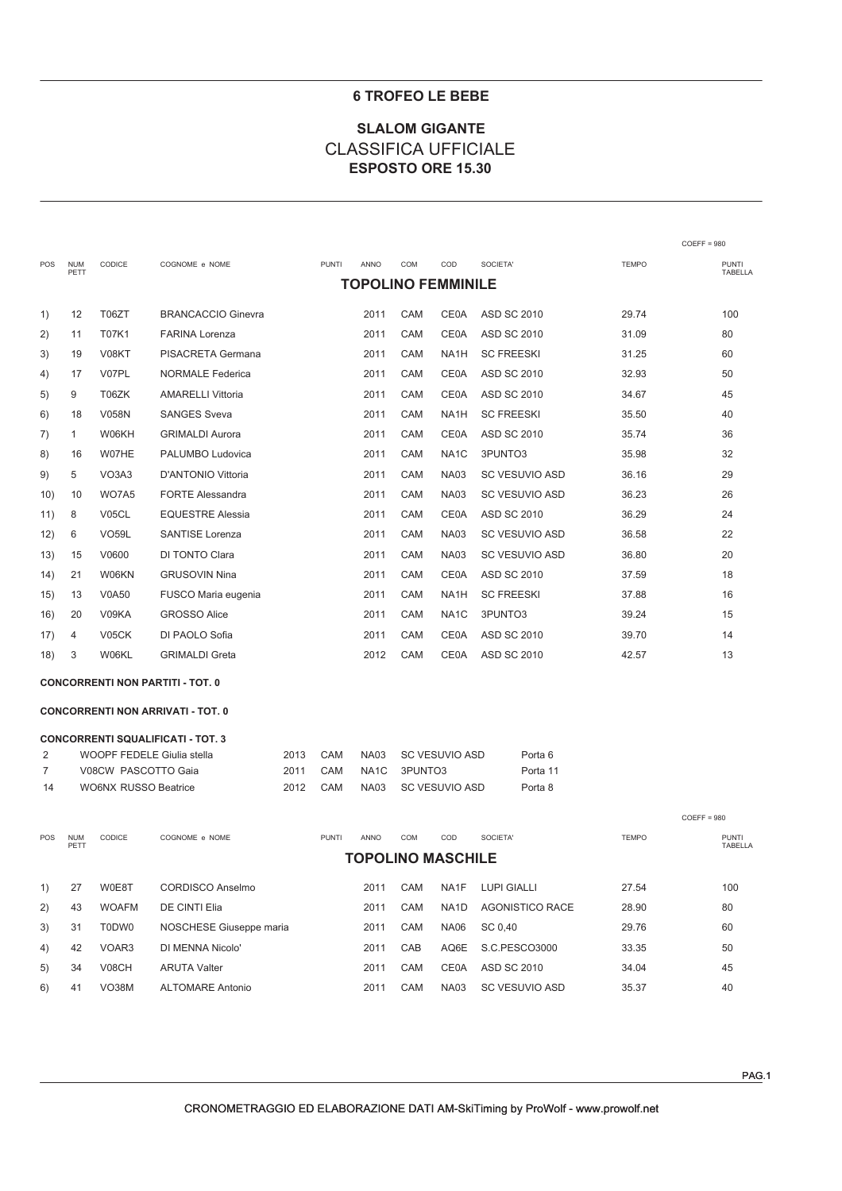### **6 TROFEO LE BEBE**

# **SLALOM GIGANTE CLASSIFICA UFFICIALE** ESPOSTO ORE 15.30

|     |                    |               |                           |              |             |            |                           |                       |              | $COEFF = 980$           |
|-----|--------------------|---------------|---------------------------|--------------|-------------|------------|---------------------------|-----------------------|--------------|-------------------------|
| POS | <b>NUM</b><br>PETT | <b>CODICE</b> | COGNOME e NOME            | <b>PUNTI</b> | <b>ANNO</b> | COM        | COD                       | SOCIETA'              | <b>TEMPO</b> | <b>PUNTI</b><br>TABELLA |
|     |                    |               |                           |              |             |            | <b>TOPOLINO FEMMINILE</b> |                       |              |                         |
| 1)  | 12                 | T06ZT         | <b>BRANCACCIO Ginevra</b> |              | 2011        | CAM        | <b>CE0A</b>               | <b>ASD SC 2010</b>    | 29.74        | 100                     |
| 2)  | 11                 | <b>T07K1</b>  | <b>FARINA Lorenza</b>     |              | 2011        | CAM        | <b>CE0A</b>               | <b>ASD SC 2010</b>    | 31.09        | 80                      |
| 3)  | 19                 | V08KT         | PISACRETA Germana         |              | 2011        | CAM        | NA <sub>1</sub> H         | <b>SC FREESKI</b>     | 31.25        | 60                      |
| 4)  | 17                 | V07PL         | <b>NORMALE Federica</b>   |              | 2011        | CAM        | <b>CE0A</b>               | <b>ASD SC 2010</b>    | 32.93        | 50                      |
| 5)  | 9                  | T06ZK         | <b>AMARELLI Vittoria</b>  |              | 2011        | CAM        | <b>CE0A</b>               | <b>ASD SC 2010</b>    | 34.67        | 45                      |
| 6)  | 18                 | <b>V058N</b>  | <b>SANGES Sveva</b>       |              | 2011        | <b>CAM</b> | NA <sub>1</sub> H         | <b>SC FREESKI</b>     | 35.50        | 40                      |
| 7)  | $\mathbf{1}$       | W06KH         | <b>GRIMALDI Aurora</b>    |              | 2011        | CAM        | <b>CE0A</b>               | <b>ASD SC 2010</b>    | 35.74        | 36                      |
| 8)  | 16                 | W07HE         | PALUMBO Ludovica          |              | 2011        | CAM        | NA <sub>1</sub> C         | 3PUNTO3               | 35.98        | 32                      |
| 9)  | 5                  | VO3A3         | <b>D'ANTONIO Vittoria</b> |              | 2011        | CAM        | <b>NA03</b>               | <b>SC VESUVIO ASD</b> | 36.16        | 29                      |
| 10) | 10                 | WO7A5         | <b>FORTE Alessandra</b>   |              | 2011        | CAM        | <b>NA03</b>               | <b>SC VESUVIO ASD</b> | 36.23        | 26                      |
| 11) | 8                  | V05CL         | <b>EQUESTRE Alessia</b>   |              | 2011        | CAM        | CE0A                      | <b>ASD SC 2010</b>    | 36.29        | 24                      |
| 12) | 6                  | <b>VO59L</b>  | <b>SANTISE Lorenza</b>    |              | 2011        | CAM        | <b>NA03</b>               | <b>SC VESUVIO ASD</b> | 36.58        | 22                      |
| 13) | 15                 | V0600         | DI TONTO Clara            |              | 2011        | CAM        | <b>NA03</b>               | <b>SC VESUVIO ASD</b> | 36.80        | 20                      |
| 14) | 21                 | W06KN         | <b>GRUSOVIN Nina</b>      |              | 2011        | CAM        | <b>CE0A</b>               | <b>ASD SC 2010</b>    | 37.59        | 18                      |
| 15) | 13                 | <b>V0A50</b>  | FUSCO Maria eugenia       |              | 2011        | CAM        | NA <sub>1</sub> H         | <b>SC FREESKI</b>     | 37.88        | 16                      |
| 16) | 20                 | V09KA         | <b>GROSSO Alice</b>       |              | 2011        | CAM        | NA <sub>1</sub> C         | 3PUNTO3               | 39.24        | 15                      |
| 17) | 4                  | V05CK         | DI PAOLO Sofia            |              | 2011        | CAM        | <b>CE0A</b>               | <b>ASD SC 2010</b>    | 39.70        | 14                      |
| 18) | 3                  | W06KL         | <b>GRIMALDI Greta</b>     |              | 2012        | CAM        | <b>CE0A</b>               | <b>ASD SC 2010</b>    | 42.57        | 13                      |
|     |                    |               |                           |              |             |            |                           |                       |              |                         |

#### **CONCORRENTI NON PARTITI - TOT. 0**

#### **CONCORRENTI NON ARRIVATI - TOT. 0**

|                | <b>CONCORRENTI SQUALIFICATI - TOT. 3</b> |      |     |  |                     |          |  |  |  |  |  |  |
|----------------|------------------------------------------|------|-----|--|---------------------|----------|--|--|--|--|--|--|
| $\overline{2}$ | WOOPF FEDELE Giulia stella               | 2013 | CAM |  | NA03 SC VESUVIO ASD | Porta 6  |  |  |  |  |  |  |
| 7              | V08CW PASCOTTO Gaja                      | 2011 | CAM |  | NA1C 3PUNTO3        | Porta 11 |  |  |  |  |  |  |
| - 14           | WO6NX RUSSO Beatrice                     | 2012 | CAM |  | NA03 SC VESUVIO ASD | Porta 8  |  |  |  |  |  |  |

| <b>POS</b> | <b>NUM</b><br>PETT | <b>CODICE</b> | COGNOME e NOME          | <b>PUNTI</b> | <b>ANNO</b> | <b>COM</b><br><b>TOPOLINO MASCHILE</b> | COD               | SOCIETA'           | <b>TEMPO</b> | <b>PUNTI</b><br>TABELLA |
|------------|--------------------|---------------|-------------------------|--------------|-------------|----------------------------------------|-------------------|--------------------|--------------|-------------------------|
| 1)         | 27                 | W0E8T         | CORDISCO Anselmo        |              | 2011        | CAM                                    | NA1F              | <b>LUPI GIALLI</b> | 27.54        | 100                     |
| 2)         | 43                 | <b>WOAFM</b>  | DE CINTI Elia           |              | 2011        | CAM                                    | NA <sub>1</sub> D | AGONISTICO RACE    | 28.90        | 80                      |
| 3)         | 31                 | T0DW0         | NOSCHESE Giuseppe maria |              | 2011        | CAM                                    | <b>NA06</b>       | SC 0.40            | 29.76        | 60                      |
| 4)         | 42                 | VOAR3         | DI MENNA Nicolo'        |              | 2011        | CAB                                    | AQ6E              | S.C.PESCO3000      | 33.35        | 50                      |
| 5)         | 34                 | <b>V08CH</b>  | <b>ARUTA Valter</b>     |              | 2011        | CAM                                    | CE0A              | ASD SC 2010        | 34.04        | 45                      |
| 6)         | 41                 | VO38M         | <b>ALTOMARE Antonio</b> |              | 2011        | CAM                                    | <b>NA03</b>       | SC VESUVIO ASD     | 35.37        | 40                      |

 $COEFF = 980$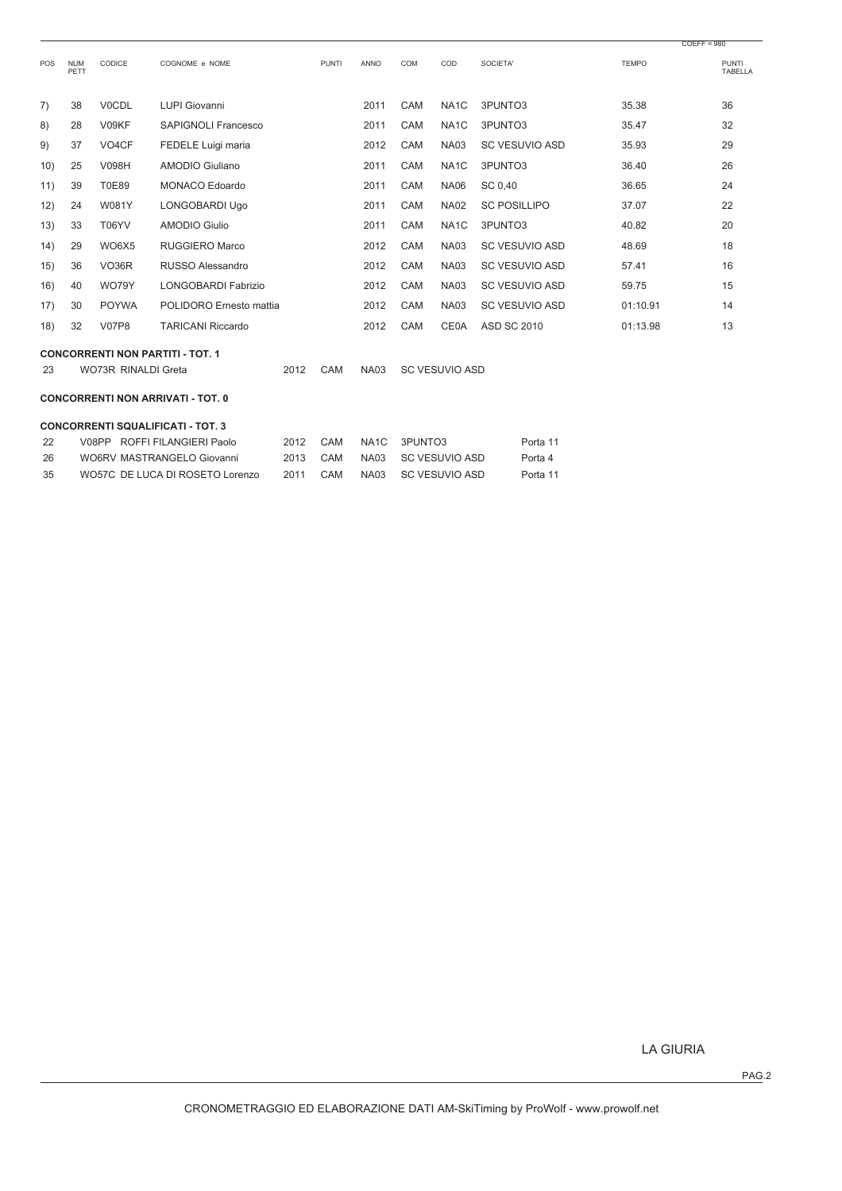|     |                    |                     |                                         |      |              |             |     |                       |                       |              | $COEFF = 980$           |
|-----|--------------------|---------------------|-----------------------------------------|------|--------------|-------------|-----|-----------------------|-----------------------|--------------|-------------------------|
| POS | <b>NUM</b><br>PETT | CODICE              | COGNOME e NOME                          |      | <b>PUNTI</b> | <b>ANNO</b> | COM | COD                   | SOCIETA'              | <b>TEMPO</b> | <b>PUNTI</b><br>TABELLA |
| 7)  | 38                 | <b>V0CDL</b>        | <b>LUPI Giovanni</b>                    |      |              | 2011        | CAM | NA <sub>1</sub> C     | 3PUNTO3               | 35.38        | 36                      |
| 8)  | 28                 | V09KF               | SAPIGNOLI Francesco                     |      |              | 2011        | CAM | NA <sub>1</sub> C     | 3PUNTO3               | 35.47        | 32                      |
| 9)  | 37                 | VO <sub>4</sub> CF  | FEDELE Luigi maria                      |      |              | 2012        | CAM | <b>NA03</b>           | <b>SC VESUVIO ASD</b> | 35.93        | 29                      |
| 10) | 25                 | V098H               | AMODIO Giuliano                         |      |              | 2011        | CAM | NA <sub>1</sub> C     | 3PUNTO3               | 36.40        | 26                      |
| 11) | 39                 | <b>T0E89</b>        | <b>MONACO Edoardo</b>                   |      |              | 2011        | CAM | <b>NA06</b>           | SC 0,40               | 36.65        | 24                      |
| 12) | 24                 | W081Y               | LONGOBARDI Ugo                          |      |              | 2011        | CAM | <b>NA02</b>           | <b>SC POSILLIPO</b>   | 37.07        | 22                      |
| 13) | 33                 | T06YV               | AMODIO Giulio                           |      |              | 2011        | CAM | NA <sub>1</sub> C     | 3PUNTO3               | 40.82        | 20                      |
| 14) | 29                 | WO6X5               | RUGGIERO Marco                          |      |              | 2012        | CAM | <b>NA03</b>           | SC VESUVIO ASD        | 48.69        | 18                      |
| 15) | 36                 | VO <sub>36</sub> R  | RUSSO Alessandro                        |      |              | 2012        | CAM | <b>NA03</b>           | <b>SC VESUVIO ASD</b> | 57.41        | 16                      |
| 16) | 40                 | <b>WO79Y</b>        | LONGOBARDI Fabrizio                     |      |              | 2012        | CAM | <b>NA03</b>           | <b>SC VESUVIO ASD</b> | 59.75        | 15                      |
| 17) | 30                 | <b>POYWA</b>        | POLIDORO Ernesto mattia                 |      |              | 2012        | CAM | <b>NA03</b>           | <b>SC VESUVIO ASD</b> | 01:10.91     | 14                      |
| 18) | 32                 | <b>V07P8</b>        | <b>TARICANI Riccardo</b>                |      |              | 2012        | CAM | <b>CE0A</b>           | <b>ASD SC 2010</b>    | 01:13.98     | 13                      |
| 23  |                    | WO73R RINALDI Greta | <b>CONCORRENTI NON PARTITI - TOT. 1</b> | 2012 | CAM          | <b>NA03</b> |     | <b>SC VESUVIO ASD</b> |                       |              |                         |
|     |                    |                     |                                         |      |              |             |     |                       |                       |              |                         |

# **CONCORRENTI NON ARRIVATI - TOT. 0**

#### **CONCORRENTI SQUALIFICATI - TOT. 3**

| -22 | V08PP ROFFI FILANGIERI Paolo    | 2012 CAM |     | NA1C 3PUNTO3        | Porta 11 |
|-----|---------------------------------|----------|-----|---------------------|----------|
| -26 | WO6RV MASTRANGELO Giovanni      | 2013 CAM |     | NA03 SC VESUVIO ASD | Porta 4  |
| -35 | WO57C DE LUCA DI ROSETO Lorenzo | 2011     | CAM | NA03 SC VESUVIO ASD | Porta 11 |

LA GIURIA

PAG.2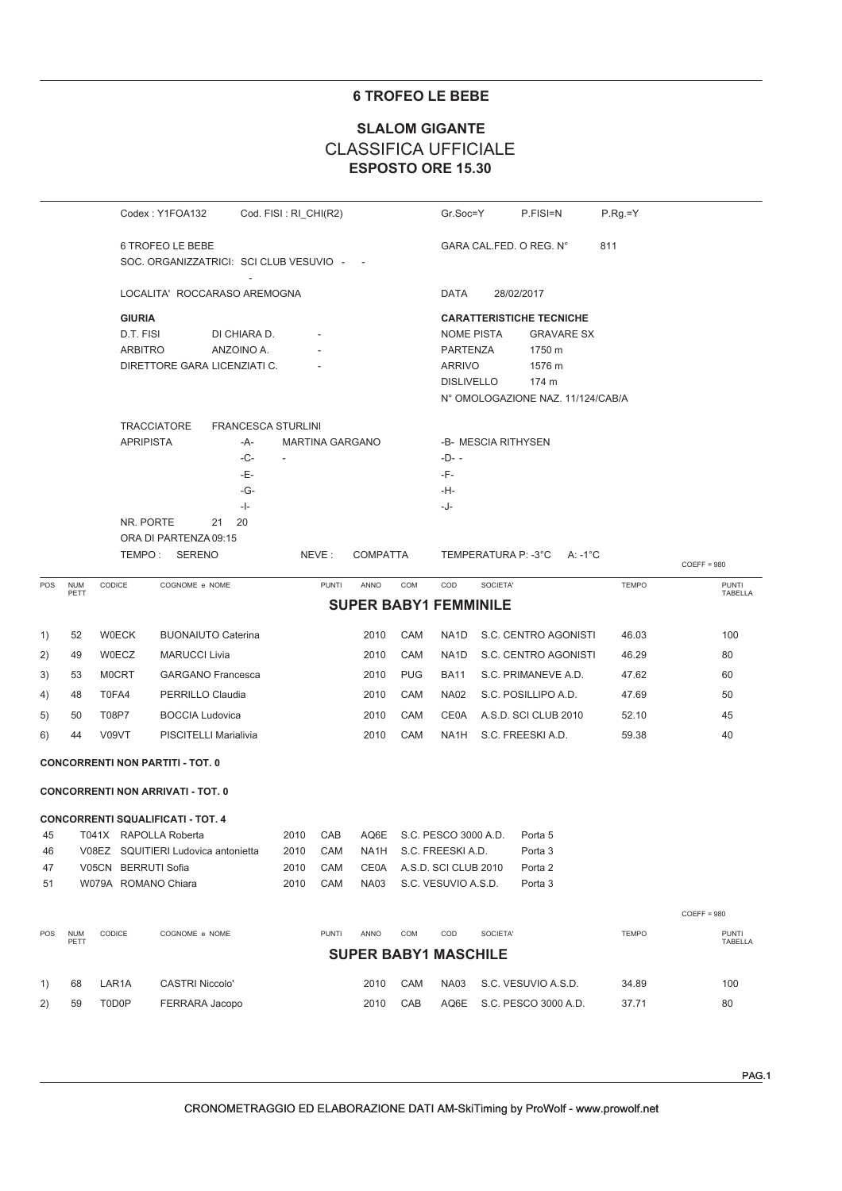### **6 TROFEO LE BEBE**

## **ESPOSTO ORE 15.30 SLALOM GIGANTE** CLASSIFICA UFFICIALE

|     |                    |                             | Codex: Y1FOA132                                             |                            | Cod. FISI: RI_CHI(R2)    |                        |                              |            | Gr.Soc=Y                                                                   |                     | P.FISI=N                                       | $P.Rg=Y$     |               |                         |
|-----|--------------------|-----------------------------|-------------------------------------------------------------|----------------------------|--------------------------|------------------------|------------------------------|------------|----------------------------------------------------------------------------|---------------------|------------------------------------------------|--------------|---------------|-------------------------|
|     |                    |                             | 6 TROFEO LE BEBE<br>SOC. ORGANIZZATRICI: SCI CLUB VESUVIO - |                            |                          |                        |                              |            |                                                                            |                     | GARA CAL.FED. O REG. N°                        | 811          |               |                         |
|     |                    |                             | LOCALITA' ROCCARASO AREMOGNA                                |                            |                          |                        |                              |            | DATA                                                                       |                     | 28/02/2017                                     |              |               |                         |
|     |                    | <b>GIURIA</b>               |                                                             |                            |                          |                        |                              |            |                                                                            |                     | <b>CARATTERISTICHE TECNICHE</b>                |              |               |                         |
|     |                    | D.T. FISI<br><b>ARBITRO</b> | DIRETTORE GARA LICENZIATI C.                                | DI CHIARA D.<br>ANZOINO A. |                          |                        |                              |            | <b>NOME PISTA</b><br><b>PARTENZA</b><br><b>ARRIVO</b><br><b>DISLIVELLO</b> |                     | <b>GRAVARE SX</b><br>1750 m<br>1576 m<br>174 m |              |               |                         |
|     |                    |                             |                                                             |                            |                          |                        |                              |            |                                                                            |                     | N° OMOLOGAZIONE NAZ. 11/124/CAB/A              |              |               |                         |
|     |                    |                             | <b>TRACCIATORE</b>                                          | <b>FRANCESCA STURLINI</b>  |                          |                        |                              |            |                                                                            |                     |                                                |              |               |                         |
|     |                    | <b>APRIPISTA</b>            |                                                             | -A-                        |                          | <b>MARTINA GARGANO</b> |                              |            |                                                                            | -B- MESCIA RITHYSEN |                                                |              |               |                         |
|     |                    |                             |                                                             | -C-<br>-Е-                 | $\overline{\phantom{a}}$ |                        |                              |            | $-D- -$<br>-F-                                                             |                     |                                                |              |               |                         |
|     |                    |                             |                                                             | -G-                        |                          |                        |                              |            | -H-                                                                        |                     |                                                |              |               |                         |
|     |                    |                             |                                                             | $-$  -                     |                          |                        |                              |            | -J-                                                                        |                     |                                                |              |               |                         |
|     |                    |                             | NR. PORTE<br>21                                             | 20                         |                          |                        |                              |            |                                                                            |                     |                                                |              |               |                         |
|     |                    |                             | ORA DI PARTENZA 09:15<br>TEMPO: SERENO                      |                            |                          | NEVE:                  | <b>COMPATTA</b>              |            |                                                                            | TEMPERATURA P: -3°C | A: -1 $^{\circ}$ C                             |              |               |                         |
| POS | <b>NUM</b>         | CODICE                      | COGNOME e NOME                                              |                            |                          | <b>PUNTI</b>           | ANNO                         | COM        | COD                                                                        | SOCIETA'            |                                                | <b>TEMPO</b> | $COEFF = 980$ | <b>PUNTI</b>            |
|     | PETT               |                             |                                                             |                            |                          |                        | <b>SUPER BABY1 FEMMINILE</b> |            |                                                                            |                     |                                                |              |               | TABELLA                 |
|     |                    |                             |                                                             |                            |                          |                        |                              |            |                                                                            |                     |                                                |              |               |                         |
| 1)  | 52                 | <b>W0ECK</b>                | <b>BUONAIUTO Caterina</b>                                   |                            |                          |                        | 2010                         | CAM        | NA1D                                                                       |                     | S.C. CENTRO AGONISTI                           | 46.03        |               | 100                     |
| 2)  | 49                 | W0ECZ                       | <b>MARUCCI Livia</b>                                        |                            |                          |                        | 2010                         | CAM        | NA <sub>1</sub> D                                                          |                     | S.C. CENTRO AGONISTI                           | 46.29        |               | 80                      |
| 3)  | 53                 | <b>MOCRT</b>                | <b>GARGANO Francesca</b>                                    |                            |                          |                        | 2010                         | <b>PUG</b> | <b>BA11</b>                                                                |                     | S.C. PRIMANEVE A.D.                            | 47.62        |               | 60                      |
| 4)  | 48                 | T0FA4                       | PERRILLO Claudia                                            |                            |                          |                        | 2010                         | CAM        | <b>NA02</b>                                                                |                     | S.C. POSILLIPO A.D.                            | 47.69        |               | 50                      |
| 5)  | 50                 | T08P7                       | <b>BOCCIA Ludovica</b>                                      |                            |                          |                        | 2010                         | CAM        | CE0A                                                                       |                     | A.S.D. SCI CLUB 2010                           | 52.10        |               | 45                      |
| 6)  | 44                 | V09VT                       | PISCITELLI Marialivia                                       |                            |                          |                        | 2010                         | CAM        | NA1H                                                                       |                     | S.C. FREESKI A.D.                              | 59.38        |               | 40                      |
|     |                    |                             | <b>CONCORRENTI NON PARTITI - TOT. 0</b>                     |                            |                          |                        |                              |            |                                                                            |                     |                                                |              |               |                         |
|     |                    |                             | <b>CONCORRENTI NON ARRIVATI - TOT. 0</b>                    |                            |                          |                        |                              |            |                                                                            |                     |                                                |              |               |                         |
|     |                    |                             | <b>CONCORRENTI SQUALIFICATI - TOT. 4</b>                    |                            |                          |                        |                              |            |                                                                            |                     |                                                |              |               |                         |
| 45  |                    |                             | T041X RAPOLLA Roberta                                       |                            | 2010                     | CAB                    |                              |            | AQ6E S.C. PESCO 3000 A.D.                                                  |                     | Porta 5                                        |              |               |                         |
| 46  |                    |                             | V08EZ SQUITIERI Ludovica antonietta                         |                            | 2010                     | CAM                    | NA <sub>1</sub> H            |            | S.C. FREESKI A.D.                                                          |                     | Porta 3                                        |              |               |                         |
| 47  |                    | V05CN BERRUTI Sofia         |                                                             |                            | 2010                     | CAM                    | <b>CE0A</b>                  |            | A.S.D. SCI CLUB 2010                                                       |                     | Porta <sub>2</sub>                             |              |               |                         |
| 51  |                    | W079A ROMANO Chiara         |                                                             |                            | 2010                     | CAM                    | <b>NA03</b>                  |            | S.C. VESUVIO A.S.D.                                                        |                     | Porta <sub>3</sub>                             |              |               |                         |
|     |                    |                             |                                                             |                            |                          |                        |                              |            |                                                                            |                     |                                                |              | $COEFF = 980$ |                         |
| POS | <b>NUM</b><br>PETT | CODICE                      | COGNOME e NOME                                              |                            |                          | <b>PUNTI</b>           | ANNO                         | <b>COM</b> | COD                                                                        | SOCIETA'            |                                                | <b>TEMPO</b> |               | <b>PUNTI</b><br>TABELLA |
|     |                    |                             |                                                             |                            |                          |                        | <b>SUPER BABY1 MASCHILE</b>  |            |                                                                            |                     |                                                |              |               |                         |
| 1)  | 68                 | LAR1A                       | <b>CASTRI Niccolo'</b>                                      |                            |                          |                        | 2010                         | CAM        | <b>NA03</b>                                                                |                     | S.C. VESUVIO A.S.D.                            | 34.89        |               | 100                     |
| 2)  | 59                 | T0D0P                       | FERRARA Jacopo                                              |                            |                          |                        | 2010                         | CAB        | AQ6E                                                                       |                     | S.C. PESCO 3000 A.D.                           | 37.71        |               | 80                      |
|     |                    |                             |                                                             |                            |                          |                        |                              |            |                                                                            |                     |                                                |              |               |                         |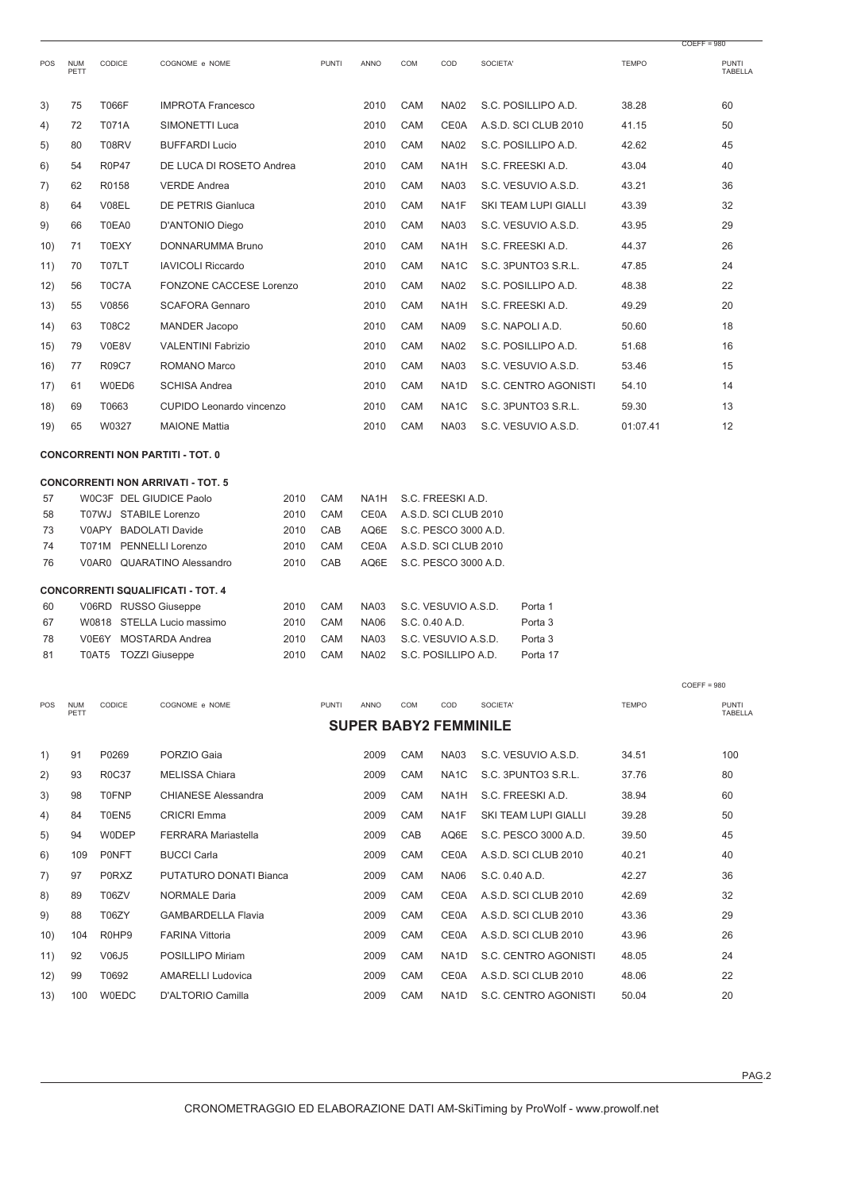|          |                    |                         |                                                |              |              |                              |            |                                              |                               |              | $COEFF = 980$           |
|----------|--------------------|-------------------------|------------------------------------------------|--------------|--------------|------------------------------|------------|----------------------------------------------|-------------------------------|--------------|-------------------------|
| POS      | <b>NUM</b><br>PETT | CODICE                  | COGNOME e NOME                                 |              | <b>PUNTI</b> | ANNO                         | <b>COM</b> | COD                                          | SOCIETA'                      | <b>TEMPO</b> | <b>PUNTI</b><br>TABELLA |
| 3)       | 75                 | <b>T066F</b>            | <b>IMPROTA Francesco</b>                       |              |              | 2010                         | CAM        | <b>NA02</b>                                  | S.C. POSILLIPO A.D.           | 38.28        | 60                      |
| 4)       | 72                 | <b>T071A</b>            | SIMONETTI Luca                                 |              |              | 2010                         | <b>CAM</b> | <b>CE0A</b>                                  | A.S.D. SCI CLUB 2010          | 41.15        | 50                      |
| 5)       | 80                 | <b>T08RV</b>            | <b>BUFFARDI Lucio</b>                          |              |              | 2010                         | CAM        | <b>NA02</b>                                  | S.C. POSILLIPO A.D.           | 42.62        | 45                      |
| 6)       | 54                 | <b>R0P47</b>            | DE LUCA DI ROSETO Andrea                       |              |              | 2010                         | CAM        | NA <sub>1</sub> H                            | S.C. FREESKI A.D.             | 43.04        | 40                      |
| 7)       | 62                 | R0158                   | <b>VERDE Andrea</b>                            |              |              | 2010                         | CAM        | <b>NA03</b>                                  | S.C. VESUVIO A.S.D.           | 43.21        | 36                      |
| 8)       | 64                 | V08EL                   | <b>DE PETRIS Gianluca</b>                      |              |              | 2010                         | CAM        | NA1F                                         | SKI TEAM LUPI GIALLI          | 43.39        | 32                      |
| 9)       | 66                 | T0EA0                   | D'ANTONIO Diego                                |              |              | 2010                         | CAM        | <b>NA03</b>                                  | S.C. VESUVIO A.S.D.           | 43.95        | 29                      |
| 10)      | 71                 | <b>T0EXY</b>            | DONNARUMMA Bruno                               |              |              | 2010                         | CAM        | NA <sub>1</sub> H                            | S.C. FREESKI A.D.             | 44.37        | 26                      |
| 11)      | 70                 | T07LT                   | <b>IAVICOLI Riccardo</b>                       |              |              | 2010                         | CAM        | NA <sub>1</sub> C                            | S.C. 3PUNTO3 S.R.L.           | 47.85        | 24                      |
| 12)      | 56                 | T0C7A                   | FONZONE CACCESE Lorenzo                        |              |              | 2010                         | CAM        | <b>NA02</b>                                  | S.C. POSILLIPO A.D.           | 48.38        | 22                      |
| 13)      | 55                 | V0856                   | <b>SCAFORA Gennaro</b>                         |              |              | 2010                         | CAM        | NA <sub>1</sub> H                            | S.C. FREESKI A.D.             | 49.29        | 20                      |
| 14)      | 63                 | T08C2                   | <b>MANDER Jacopo</b>                           |              |              | 2010                         | CAM        | <b>NA09</b>                                  | S.C. NAPOLI A.D.              | 50.60        | 18                      |
| 15)      | 79                 | V0E8V                   | <b>VALENTINI Fabrizio</b>                      |              |              | 2010                         | <b>CAM</b> | <b>NA02</b>                                  | S.C. POSILLIPO A.D.           | 51.68        | 16                      |
| 16)      | 77                 | R09C7                   | ROMANO Marco                                   |              |              | 2010                         | CAM        | <b>NA03</b>                                  | S.C. VESUVIO A.S.D.           | 53.46        | 15                      |
| 17)      | 61                 | W0ED6                   | <b>SCHISA Andrea</b>                           |              |              | 2010                         | <b>CAM</b> | NA <sub>1</sub> D                            | S.C. CENTRO AGONISTI          | 54.10        | 14                      |
| 18)      | 69                 | T0663                   | CUPIDO Leonardo vincenzo                       |              |              | 2010                         | CAM        | NA <sub>1</sub> C                            | S.C. 3PUNTO3 S.R.L.           | 59.30        | 13                      |
| 19)      | 65                 | W0327                   | <b>MAIONE Mattia</b>                           |              |              | 2010                         | CAM        | <b>NA03</b>                                  | S.C. VESUVIO A.S.D.           | 01:07.41     | 12                      |
|          |                    |                         | <b>CONCORRENTI NON PARTITI - TOT. 0</b>        |              |              |                              |            |                                              |                               |              |                         |
|          |                    |                         | <b>CONCORRENTI NON ARRIVATI - TOT. 5</b>       |              |              |                              |            |                                              |                               |              |                         |
| 57       |                    | WOC3F DEL GIUDICE Paolo |                                                | 2010         | CAM          | NA <sub>1</sub> H            |            | S.C. FREESKI A.D.                            |                               |              |                         |
| 58       |                    | T07WJ STABILE Lorenzo   |                                                | 2010         | CAM          | <b>CE0A</b>                  |            | A.S.D. SCI CLUB 2010                         |                               |              |                         |
| 73       |                    | V0APY BADOLATI Davide   |                                                | 2010         | CAB          | AQ6E                         |            | S.C. PESCO 3000 A.D.                         |                               |              |                         |
| 74<br>76 |                    | T071M                   | PENNELLI Lorenzo<br>V0AR0 QUARATINO Alessandro | 2010<br>2010 | CAM<br>CAB   | <b>CE0A</b><br>AQ6E          |            | A.S.D. SCI CLUB 2010<br>S.C. PESCO 3000 A.D. |                               |              |                         |
|          |                    |                         |                                                |              |              |                              |            |                                              |                               |              |                         |
|          |                    |                         | <b>CONCORRENTI SQUALIFICATI - TOT. 4</b>       |              |              |                              |            |                                              |                               |              |                         |
| 60<br>67 |                    | V06RD RUSSO Giuseppe    | W0818 STELLA Lucio massimo                     | 2010<br>2010 | CAM<br>CAM   | <b>NA03</b><br><b>NA06</b>   |            | S.C. VESUVIO A.S.D.<br>S.C. 0.40 A.D.        | Porta 1<br>Porta <sub>3</sub> |              |                         |
| 78       |                    | V0E6Y MOSTARDA Andrea   |                                                | 2010         | CAM          | <b>NA03</b>                  |            | S.C. VESUVIO A.S.D.                          | Porta <sub>3</sub>            |              |                         |
| 81       |                    | T0AT5                   | <b>TOZZI Giuseppe</b>                          | 2010         | CAM          | <b>NA02</b>                  |            | S.C. POSILLIPO A.D.                          | Porta 17                      |              |                         |
|          |                    |                         |                                                |              |              |                              |            |                                              |                               |              | $COEFF = 980$           |
| POS      | <b>NUM</b><br>PETT | CODICE                  | COGNOME e NOME                                 |              | <b>PUNTI</b> | ANNO                         | COM        | COD                                          | SOCIETA'                      | <b>TEMPO</b> | <b>PUNTI</b><br>TABELLA |
|          |                    |                         |                                                |              |              | <b>SUPER BABY2 FEMMINILE</b> |            |                                              |                               |              |                         |
| 1)       | 91                 | P0269                   | PORZIO Gaia                                    |              |              | 2009                         | CAM        | NA03                                         | S.C. VESUVIO A.S.D.           | 34.51        | 100                     |
| 2)       | 93                 | <b>R0C37</b>            | <b>MELISSA Chiara</b>                          |              |              | 2009                         | CAM        | NA <sub>1</sub> C                            | S.C. 3PUNTO3 S.R.L.           | 37.76        | 80                      |
| 3)       | 98                 | <b>T0FNP</b>            | <b>CHIANESE Alessandra</b>                     |              |              | 2009                         | CAM        | NA1H                                         | S.C. FREESKI A.D.             | 38.94        | 60                      |
| 4)       | 84                 | T0EN5                   | <b>CRICRI Emma</b>                             |              |              | 2009                         | CAM        | NA1F                                         | SKI TEAM LUPI GIALLI          | 39.28        | 50                      |
| 5)       | 94                 | <b>WODEP</b>            | <b>FERRARA Mariastella</b>                     |              |              | 2009                         | CAB        | AQ6E                                         | S.C. PESCO 3000 A.D.          | 39.50        | 45                      |
| 6)       | 109                | <b>PONFT</b>            | <b>BUCCI Carla</b>                             |              |              | 2009                         | CAM        | CE0A                                         | A.S.D. SCI CLUB 2010          | 40.21        | 40                      |
| 7)       | 97                 | <b>P0RXZ</b>            | PUTATURO DONATI Bianca                         |              |              | 2009                         | CAM        | <b>NA06</b>                                  | S.C. 0.40 A.D.                | 42.27        | 36                      |
| 8)       | 89                 | T06ZV                   | <b>NORMALE Daria</b>                           |              |              | 2009                         | CAM        | CE0A                                         | A.S.D. SCI CLUB 2010          | 42.69        | 32                      |
| 9)       | 88                 | T06ZY                   | <b>GAMBARDELLA Flavia</b>                      |              |              | 2009                         | CAM        | CE0A                                         | A.S.D. SCI CLUB 2010          | 43.36        | 29                      |
| 10)      | 104                | R0HP9                   | <b>FARINA Vittoria</b>                         |              |              | 2009                         | <b>CAM</b> | CE0A                                         | A.S.D. SCI CLUB 2010          | 43.96        | 26                      |
| 11)      | 92                 | V06J5                   | POSILLIPO Miriam                               |              |              | 2009                         | CAM        | NA1D                                         | S.C. CENTRO AGONISTI          | 48.05        | 24                      |
| 12)      | 99                 | T0692                   | <b>AMARELLI Ludovica</b>                       |              |              | 2009                         | CAM        | CE0A                                         | A.S.D. SCI CLUB 2010          | 48.06        | 22                      |
| 13)      | 100                | <b>W0EDC</b>            | D'ALTORIO Camilla                              |              |              | 2009                         | CAM        | NA1D                                         | S.C. CENTRO AGONISTI          | 50.04        | 20                      |
|          |                    |                         |                                                |              |              |                              |            |                                              |                               |              |                         |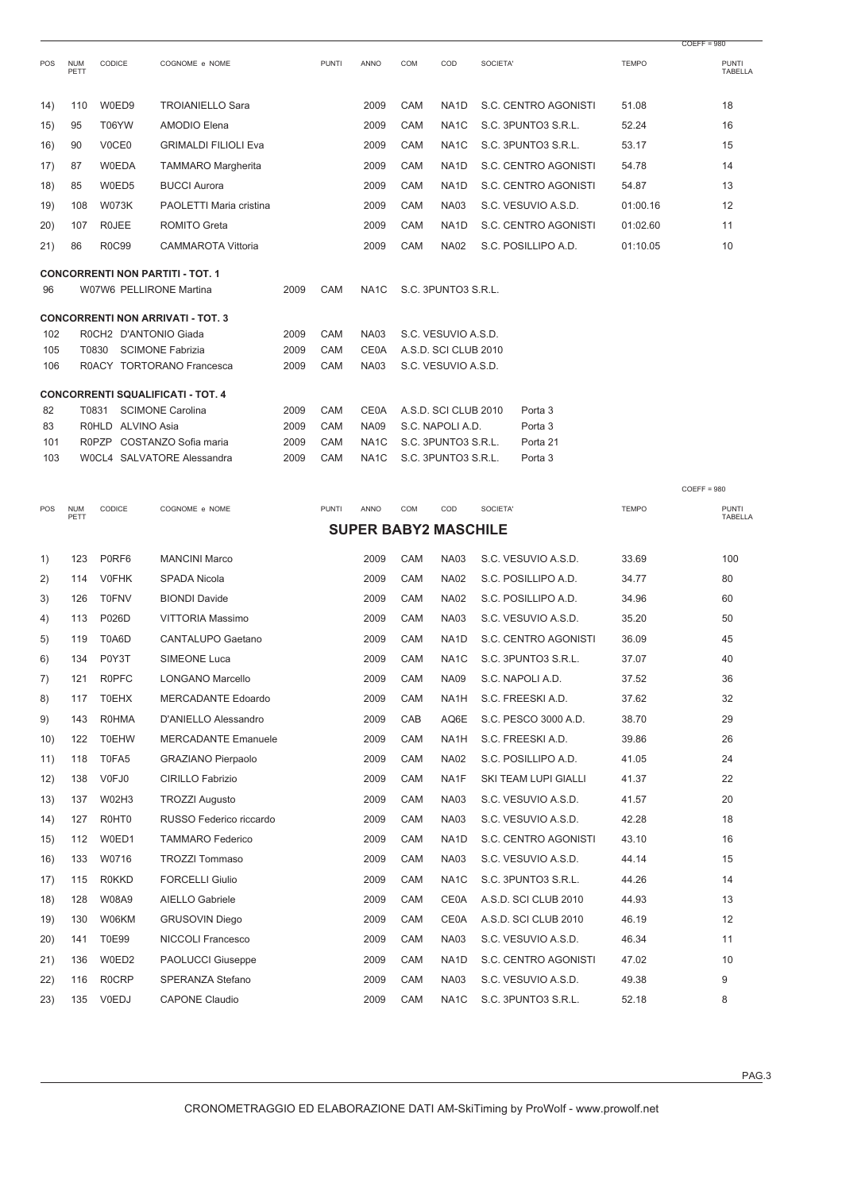|           |                    |                         |                                          |              |              |                                  |            |                                             |          |                                |              | COLLL - 200                    |
|-----------|--------------------|-------------------------|------------------------------------------|--------------|--------------|----------------------------------|------------|---------------------------------------------|----------|--------------------------------|--------------|--------------------------------|
| POS       | <b>NUM</b><br>PETT | CODICE                  | COGNOME e NOME                           |              | <b>PUNTI</b> | ANNO                             | COM        | COD                                         | SOCIETA' |                                | <b>TEMPO</b> | <b>PUNTI</b><br><b>TABELLA</b> |
| 14)       | 110                | W0ED9                   | <b>TROIANIELLO Sara</b>                  |              |              | 2009                             | CAM        | NA1D                                        |          | S.C. CENTRO AGONISTI           | 51.08        | 18                             |
| 15)       | 95                 | T06YW                   | AMODIO Elena                             |              |              | 2009                             | CAM        | NA <sub>1</sub> C                           |          | S.C. 3PUNTO3 S.R.L.            | 52.24        | 16                             |
| 16)       | 90                 | V0CE0                   | <b>GRIMALDI FILIOLI Eva</b>              |              |              | 2009                             | CAM        | NA <sub>1</sub> C                           |          | S.C. 3PUNTO3 S.R.L.            | 53.17        | 15                             |
| 17)       | 87                 | <b>W0EDA</b>            | <b>TAMMARO Margherita</b>                |              |              | 2009                             | CAM        | NA1D                                        |          | S.C. CENTRO AGONISTI           | 54.78        | 14                             |
| 18)       | 85                 | W0ED5                   | <b>BUCCI Aurora</b>                      |              |              | 2009                             | <b>CAM</b> | NA <sub>1</sub> D                           |          | S.C. CENTRO AGONISTI           | 54.87        | 13                             |
|           |                    |                         |                                          |              |              | 2009                             | CAM        | <b>NA03</b>                                 |          | S.C. VESUVIO A.S.D.            |              | 12                             |
| 19)       | 108                | <b>W073K</b>            | PAOLETTI Maria cristina                  |              |              |                                  |            |                                             |          |                                | 01:00.16     |                                |
| 20)       | 107                | <b>ROJEE</b>            | <b>ROMITO Greta</b>                      |              |              | 2009                             | <b>CAM</b> | NA1D                                        |          | S.C. CENTRO AGONISTI           | 01:02.60     | 11                             |
| 21)       | 86                 | R0C99                   | <b>CAMMAROTA Vittoria</b>                |              |              | 2009                             | CAM        | <b>NA02</b>                                 |          | S.C. POSILLIPO A.D.            | 01:10.05     | 10                             |
| 96        |                    | W07W6 PELLIRONE Martina | <b>CONCORRENTI NON PARTITI - TOT. 1</b>  | 2009         | CAM          | NA1C                             |            | S.C. 3PUNTO3 S.R.L.                         |          |                                |              |                                |
|           |                    |                         | <b>CONCORRENTI NON ARRIVATI - TOT. 3</b> |              |              |                                  |            |                                             |          |                                |              |                                |
| 102       |                    | R0CH2 D'ANTONIO Giada   |                                          | 2009         | CAM          | <b>NA03</b>                      |            | S.C. VESUVIO A.S.D.                         |          |                                |              |                                |
| 105       | T0830              |                         | <b>SCIMONE Fabrizia</b>                  | 2009         | CAM          | <b>CE0A</b>                      |            | A.S.D. SCI CLUB 2010<br>S.C. VESUVIO A.S.D. |          |                                |              |                                |
| 106       |                    |                         | R0ACY TORTORANO Francesca                | 2009         | CAM          | <b>NA03</b>                      |            |                                             |          |                                |              |                                |
|           |                    |                         | <b>CONCORRENTI SQUALIFICATI - TOT. 4</b> |              |              |                                  |            |                                             |          |                                |              |                                |
| 82        | T0831              |                         | <b>SCIMONE Carolina</b>                  | 2009         | CAM          | <b>CE0A</b>                      |            | A.S.D. SCI CLUB 2010                        |          | Porta <sub>3</sub>             |              |                                |
| 83<br>101 |                    | R0HLD ALVINO Asia       | R0PZP COSTANZO Sofia maria               | 2009<br>2009 | CAM<br>CAM   | <b>NA09</b><br>NA <sub>1</sub> C |            | S.C. NAPOLI A.D.<br>S.C. 3PUNTO3 S.R.L.     |          | Porta <sub>3</sub><br>Porta 21 |              |                                |
| 103       |                    |                         | WOCL4 SALVATORE Alessandra               | 2009         | CAM          | NA1C                             |            | S.C. 3PUNTO3 S.R.L.                         |          | Porta <sub>3</sub>             |              |                                |
|           |                    |                         |                                          |              |              |                                  |            |                                             |          |                                |              |                                |
|           |                    |                         |                                          |              |              |                                  |            |                                             |          |                                |              | $COEFF = 980$                  |
| POS       | <b>NUM</b><br>PETT | <b>CODICE</b>           | COGNOME e NOME                           |              | <b>PUNTI</b> | <b>ANNO</b>                      | COM        | COD<br><b>SUPER BABY2 MASCHILE</b>          | SOCIETA' |                                | <b>TEMPO</b> | <b>PUNTI</b><br>TABELLA        |
|           |                    |                         |                                          |              |              |                                  |            |                                             |          |                                |              |                                |
| 1)        | 123                | P0RF6                   | <b>MANCINI Marco</b>                     |              |              | 2009                             | CAM        | <b>NA03</b>                                 |          | S.C. VESUVIO A.S.D.            | 33.69        | 100                            |
| 2)        | 114                | <b>V0FHK</b>            | <b>SPADA Nicola</b>                      |              |              | 2009                             | CAM        | <b>NA02</b>                                 |          | S.C. POSILLIPO A.D.            | 34.77        | 80                             |
| 3)        | 126                | <b>T0FNV</b>            | <b>BIONDI Davide</b>                     |              |              | 2009                             | CAM        | <b>NA02</b>                                 |          | S.C. POSILLIPO A.D.            | 34.96        | 60                             |
| 4)        | 113                | P026D                   | VITTORIA Massimo                         |              |              | 2009                             | CAM        | <b>NA03</b>                                 |          | S.C. VESUVIO A.S.D.            | 35.20        | 50                             |
| 5)        | 119                | T0A6D                   | CANTALUPO Gaetano                        |              |              | 2009                             | CAM        | NA1D                                        |          | S.C. CENTRO AGONISTI           | 36.09        | 45                             |
| 6)        | 134                | P0Y3T                   | <b>SIMEONE Luca</b>                      |              |              | 2009                             | CAM        | NA <sub>1</sub> C                           |          | S.C. 3PUNTO3 S.R.L.            | 37.07        | 40                             |
| 7)        | 121                | <b>R0PFC</b>            | LONGANO Marcello                         |              |              | 2009                             | CAM        | NA09                                        |          | S.C. NAPOLI A.D.               | 37.52        | 36                             |
| 8)        | 117                | <b>T0EHX</b>            | MERCADANTE Edoardo                       |              |              | 2009                             | CAM        | NA1H                                        |          | S.C. FREESKI A.D.              | 37.62        | 32                             |
| 9)        | 143                | <b>R0HMA</b>            | D'ANIELLO Alessandro                     |              |              | 2009                             | CAB        | AQ6E                                        |          | S.C. PESCO 3000 A.D.           | 38.70        | 29                             |
| 10)       | 122                | <b>T0EHW</b>            | <b>MERCADANTE Emanuele</b>               |              |              | 2009                             | CAM        | NA <sub>1</sub> H                           |          | S.C. FREESKI A.D.              | 39.86        | 26                             |
| 11)       | 118                | T0FA5                   | <b>GRAZIANO Pierpaolo</b>                |              |              | 2009                             | CAM        | <b>NA02</b>                                 |          | S.C. POSILLIPO A.D.            | 41.05        | 24                             |
| 12)       | 138                | V0FJ0                   | CIRILLO Fabrizio                         |              |              | 2009                             | CAM        | NA1F                                        |          | SKI TEAM LUPI GIALLI           | 41.37        | 22                             |
| 13)       | 137                | W02H3                   | <b>TROZZI Augusto</b>                    |              |              | 2009                             | CAM        | <b>NA03</b>                                 |          | S.C. VESUVIO A.S.D.            | 41.57        | 20                             |
| 14)       | 127                | R0HT0                   | RUSSO Federico riccardo                  |              |              | 2009                             | CAM        | <b>NA03</b>                                 |          | S.C. VESUVIO A.S.D.            | 42.28        | 18                             |
| 15)       | 112                | W0ED1                   | <b>TAMMARO Federico</b>                  |              |              | 2009                             | CAM        | NA <sub>1</sub> D                           |          | S.C. CENTRO AGONISTI           | 43.10        | 16                             |
| 16)       | 133                | W0716                   | <b>TROZZI Tommaso</b>                    |              |              | 2009                             | CAM        | <b>NA03</b>                                 |          | S.C. VESUVIO A.S.D.            | 44.14        | 15                             |
|           |                    | <b>R0KKD</b>            | <b>FORCELLI Giulio</b>                   |              |              | 2009                             | CAM        | NA <sub>1</sub> C                           |          |                                | 44.26        | 14                             |
| 17)       | 115                |                         |                                          |              |              |                                  |            |                                             |          | S.C. 3PUNTO3 S.R.L.            |              |                                |
| 18)       | 128                | W08A9                   | <b>AIELLO Gabriele</b>                   |              |              | 2009                             | CAM        | <b>CE0A</b>                                 |          | A.S.D. SCI CLUB 2010           | 44.93        | 13                             |
| 19)       | 130                | W06KM                   | <b>GRUSOVIN Diego</b>                    |              |              | 2009                             | CAM        | <b>CE0A</b>                                 |          | A.S.D. SCI CLUB 2010           | 46.19        | 12                             |
|           |                    |                         |                                          |              |              | 2009                             | CAM        | <b>NA03</b>                                 |          | S.C. VESUVIO A.S.D.            | 46.34        | 11                             |
| 20)       | 141                | T0E99                   | NICCOLI Francesco                        |              |              |                                  |            |                                             |          |                                |              |                                |
| 21)       | 136                | W0ED2                   | PAOLUCCI Giuseppe                        |              |              | 2009                             | CAM        | NA <sub>1</sub> D                           |          | S.C. CENTRO AGONISTI           | 47.02        | 10                             |
| 22)       | 116                | <b>R0CRP</b>            | SPERANZA Stefano                         |              |              | 2009                             | CAM        | <b>NA03</b>                                 |          | S.C. VESUVIO A.S.D.            | 49.38        | 9                              |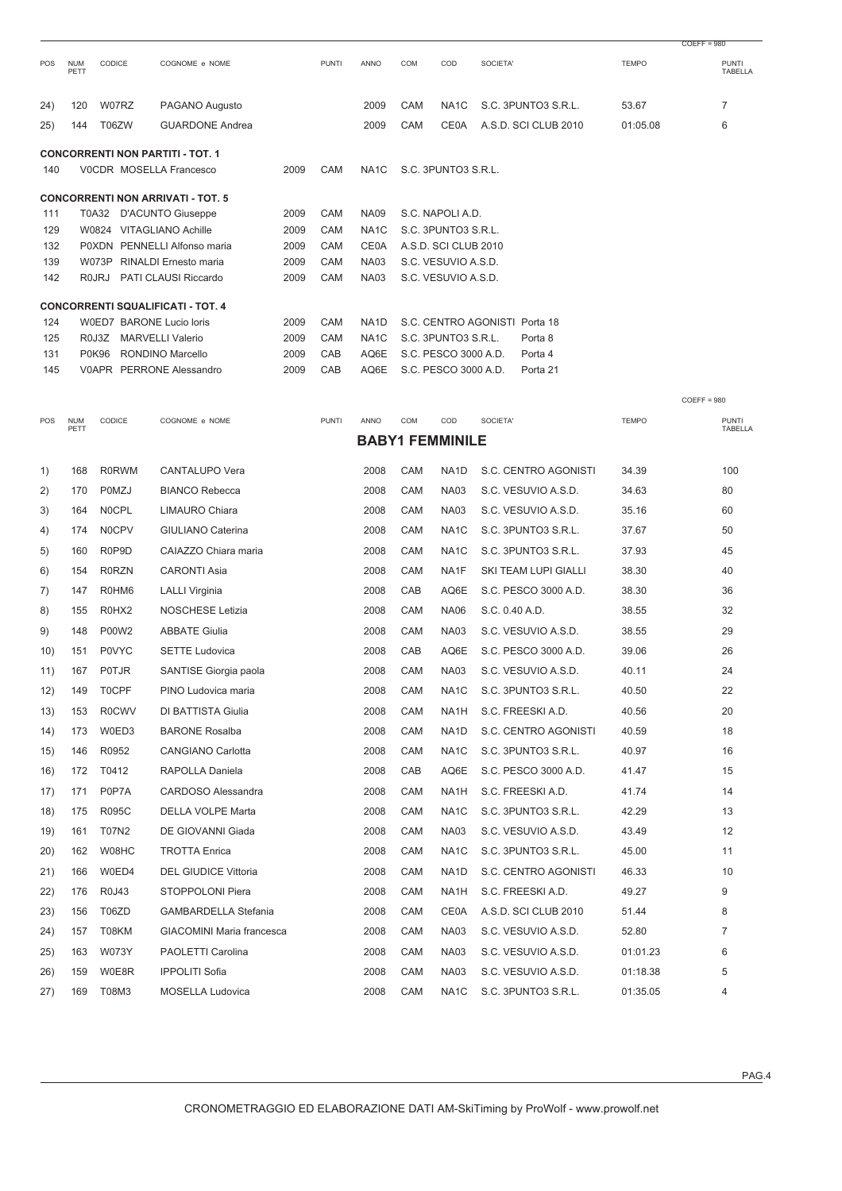|            |                    |                    |                                          |      |              |                   |     |                        |                               |              | $COEFF = 980$           |
|------------|--------------------|--------------------|------------------------------------------|------|--------------|-------------------|-----|------------------------|-------------------------------|--------------|-------------------------|
| <b>POS</b> | <b>NUM</b><br>PETT | CODICE             | COGNOME e NOME                           |      | <b>PUNTI</b> | ANNO              | COM | COD                    | SOCIETA'                      | <b>TEMPO</b> | <b>PUNTI</b><br>TABELLA |
|            |                    |                    |                                          |      |              |                   |     |                        |                               |              |                         |
| (24)       | 120                | W07RZ              | PAGANO Augusto                           |      |              | 2009              | CAM | NA <sub>1</sub> C      | S.C. 3PUNTO3 S.R.L.           | 53.67        | $\overline{7}$          |
| 25)        | 144                | T06ZW              | <b>GUARDONE Andrea</b>                   |      |              | 2009              | CAM | <b>CE0A</b>            | A.S.D. SCI CLUB 2010          | 01:05.08     | 6                       |
|            |                    |                    | <b>CONCORRENTI NON PARTITI - TOT. 1</b>  |      |              |                   |     |                        |                               |              |                         |
| 140        |                    |                    | VOCDR MOSELLA Francesco                  | 2009 | CAM          | NA <sub>1</sub> C |     | S.C. 3PUNTO3 S.R.L.    |                               |              |                         |
|            |                    |                    | <b>CONCORRENTI NON ARRIVATI - TOT. 5</b> |      |              |                   |     |                        |                               |              |                         |
| 111        |                    |                    | T0A32 D'ACUNTO Giuseppe                  | 2009 | CAM          | <b>NA09</b>       |     | S.C. NAPOLI A.D.       |                               |              |                         |
| 129        |                    |                    | W0824 VITAGLIANO Achille                 | 2009 | CAM          | NA <sub>1</sub> C |     | S.C. 3PUNTO3 S.R.L.    |                               |              |                         |
| 132        |                    |                    | P0XDN PENNELLI Alfonso maria             | 2009 | CAM          | <b>CE0A</b>       |     | A.S.D. SCI CLUB 2010   |                               |              |                         |
| 139        |                    | W073P              | RINALDI Ernesto maria                    | 2009 | CAM          | <b>NA03</b>       |     | S.C. VESUVIO A.S.D.    |                               |              |                         |
| 142        |                    | <b>ROJRJ</b>       | PATI CLAUSI Riccardo                     | 2009 | CAM          | <b>NA03</b>       |     | S.C. VESUVIO A.S.D.    |                               |              |                         |
|            |                    |                    | <b>CONCORRENTI SQUALIFICATI - TOT. 4</b> |      |              |                   |     |                        |                               |              |                         |
| 124        |                    |                    | W0ED7 BARONE Lucio loris                 | 2009 | CAM          | NA <sub>1</sub> D |     |                        | S.C. CENTRO AGONISTI Porta 18 |              |                         |
| 125        |                    | R <sub>0</sub> J3Z | <b>MARVELLI Valerio</b>                  | 2009 | CAM          | NA <sub>1</sub> C |     | S.C. 3PUNTO3 S.R.L.    | Porta <sub>8</sub>            |              |                         |
| 131        |                    | <b>P0K96</b>       | RONDINO Marcello                         | 2009 | CAB          | AQ6E              |     | S.C. PESCO 3000 A.D.   | Porta 4                       |              |                         |
| 145        |                    |                    | V0APR PERRONE Alessandro                 | 2009 | CAB          | AQ6E              |     | S.C. PESCO 3000 A.D.   | Porta 21                      |              |                         |
|            |                    |                    |                                          |      |              |                   |     |                        |                               |              | $COEFF = 980$           |
| POS        | <b>NUM</b><br>PETT | CODICE             | COGNOME e NOME                           |      | <b>PUNTI</b> | ANNO              | COM | COD                    | SOCIETA'                      | <b>TEMPO</b> | <b>PUNTI</b><br>TABELLA |
|            |                    |                    |                                          |      |              |                   |     | <b>BABY1 FEMMINILE</b> |                               |              |                         |
| 1)         | 168                | <b>R0RWM</b>       | <b>CANTALUPO Vera</b>                    |      |              | 2008              | CAM | NA <sub>1</sub> D      | S.C. CENTRO AGONISTI          | 34.39        | 100                     |
| 2)         | 170                | <b>POMZJ</b>       | <b>BIANCO Rebecca</b>                    |      |              | 2008              | CAM | <b>NA03</b>            | S.C. VESUVIO A.S.D.           | 34.63        | 80                      |
| 3)         | 164                | N0CPL              | <b>LIMAURO Chiara</b>                    |      |              | 2008              | CAM | <b>NA03</b>            | S.C. VESUVIO A.S.D.           | 35.16        | 60                      |
| 4)         | 174                | <b>N0CPV</b>       | <b>GIULIANO Caterina</b>                 |      |              | 2008              | CAM | NA <sub>1</sub> C      | S.C. 3PUNTO3 S.R.L.           | 37.67        | 50                      |
|            |                    |                    |                                          |      |              |                   |     |                        |                               |              |                         |

| 2)   | 170 | POMZJ        | <b>BIANCO Rebecca</b>            | 2008 | CAM | <b>NA03</b>       | S.C. VESUVIO A.S.D.  | 34.63    | 80             |
|------|-----|--------------|----------------------------------|------|-----|-------------------|----------------------|----------|----------------|
| 3)   | 164 | N0CPL        | <b>LIMAURO Chiara</b>            | 2008 | CAM | <b>NA03</b>       | S.C. VESUVIO A.S.D.  | 35.16    | 60             |
| 4)   | 174 | N0CPV        | <b>GIULIANO Caterina</b>         | 2008 | CAM | NA <sub>1</sub> C | S.C. 3PUNTO3 S.R.L.  | 37.67    | 50             |
| 5)   | 160 | R0P9D        | CAIAZZO Chiara maria             | 2008 | CAM | NA <sub>1</sub> C | S.C. 3PUNTO3 S.R.L.  | 37.93    | 45             |
| 6)   | 154 | <b>R0RZN</b> | <b>CARONTI Asia</b>              | 2008 | CAM | NA1F              | SKI TEAM LUPI GIALLI | 38.30    | 40             |
| 7)   | 147 | R0HM6        | <b>LALLI Virginia</b>            | 2008 | CAB | AQ6E              | S.C. PESCO 3000 A.D. | 38.30    | 36             |
| 8)   | 155 | R0HX2        | <b>NOSCHESE Letizia</b>          | 2008 | CAM | <b>NA06</b>       | S.C. 0.40 A.D.       | 38.55    | 32             |
| 9)   | 148 | P00W2        | <b>ABBATE Giulia</b>             | 2008 | CAM | <b>NA03</b>       | S.C. VESUVIO A.S.D.  | 38.55    | 29             |
| 10)  | 151 | <b>P0VYC</b> | <b>SETTE Ludovica</b>            | 2008 | CAB | AQ6E              | S.C. PESCO 3000 A.D. | 39.06    | 26             |
| 11)  | 167 | <b>P0TJR</b> | SANTISE Giorgia paola            | 2008 | CAM | <b>NA03</b>       | S.C. VESUVIO A.S.D.  | 40.11    | 24             |
| 12)  | 149 | <b>TOCPF</b> | PINO Ludovica maria              | 2008 | CAM | NA <sub>1</sub> C | S.C. 3PUNTO3 S.R.L.  | 40.50    | 22             |
| 13)  | 153 | <b>R0CWV</b> | <b>DI BATTISTA Giulia</b>        | 2008 | CAM | NA <sub>1</sub> H | S.C. FREESKI A.D.    | 40.56    | 20             |
| (14) | 173 | W0ED3        | <b>BARONE Rosalba</b>            | 2008 | CAM | NA <sub>1</sub> D | S.C. CENTRO AGONISTI | 40.59    | 18             |
| 15)  | 146 | R0952        | <b>CANGIANO Carlotta</b>         | 2008 | CAM | NA <sub>1</sub> C | S.C. 3PUNTO3 S.R.L.  | 40.97    | 16             |
| 16)  | 172 | T0412        | RAPOLLA Daniela                  | 2008 | CAB | AQ6E              | S.C. PESCO 3000 A.D. | 41.47    | 15             |
| 17)  | 171 | P0P7A        | CARDOSO Alessandra               | 2008 | CAM | NA <sub>1</sub> H | S.C. FREESKI A.D.    | 41.74    | 14             |
| 18)  | 175 | <b>R095C</b> | DELLA VOLPE Marta                | 2008 | CAM | NA <sub>1</sub> C | S.C. 3PUNTO3 S.R.L.  | 42.29    | 13             |
| 19)  | 161 | T07N2        | DE GIOVANNI Giada                | 2008 | CAM | <b>NA03</b>       | S.C. VESUVIO A.S.D.  | 43.49    | 12             |
| 20)  | 162 | W08HC        | <b>TROTTA Enrica</b>             | 2008 | CAM | NA <sub>1</sub> C | S.C. 3PUNTO3 S.R.L.  | 45.00    | 11             |
| 21)  | 166 | W0ED4        | <b>DEL GIUDICE Vittoria</b>      | 2008 | CAM | NA <sub>1</sub> D | S.C. CENTRO AGONISTI | 46.33    | 10             |
| 22)  | 176 | R0J43        | STOPPOLONI Piera                 | 2008 | CAM | NA1H              | S.C. FREESKI A.D.    | 49.27    | 9              |
| 23)  | 156 | T06ZD        | <b>GAMBARDELLA Stefania</b>      | 2008 | CAM | CE0A              | A.S.D. SCI CLUB 2010 | 51.44    | 8              |
| 24)  | 157 | T08KM        | <b>GIACOMINI Maria francesca</b> | 2008 | CAM | <b>NA03</b>       | S.C. VESUVIO A.S.D.  | 52.80    | $\overline{7}$ |
| 25)  | 163 | W073Y        | PAOLETTI Carolina                | 2008 | CAM | <b>NA03</b>       | S.C. VESUVIO A.S.D.  | 01:01.23 | 6              |
| 26)  | 159 | W0E8R        | <b>IPPOLITI Sofia</b>            | 2008 | CAM | <b>NA03</b>       | S.C. VESUVIO A.S.D.  | 01:18.38 | 5              |
| 27)  | 169 | T08M3        | MOSELLA Ludovica                 | 2008 | CAM | NA <sub>1</sub> C | S.C. 3PUNTO3 S.R.L.  | 01:35.05 | 4              |
|      |     |              |                                  |      |     |                   |                      |          |                |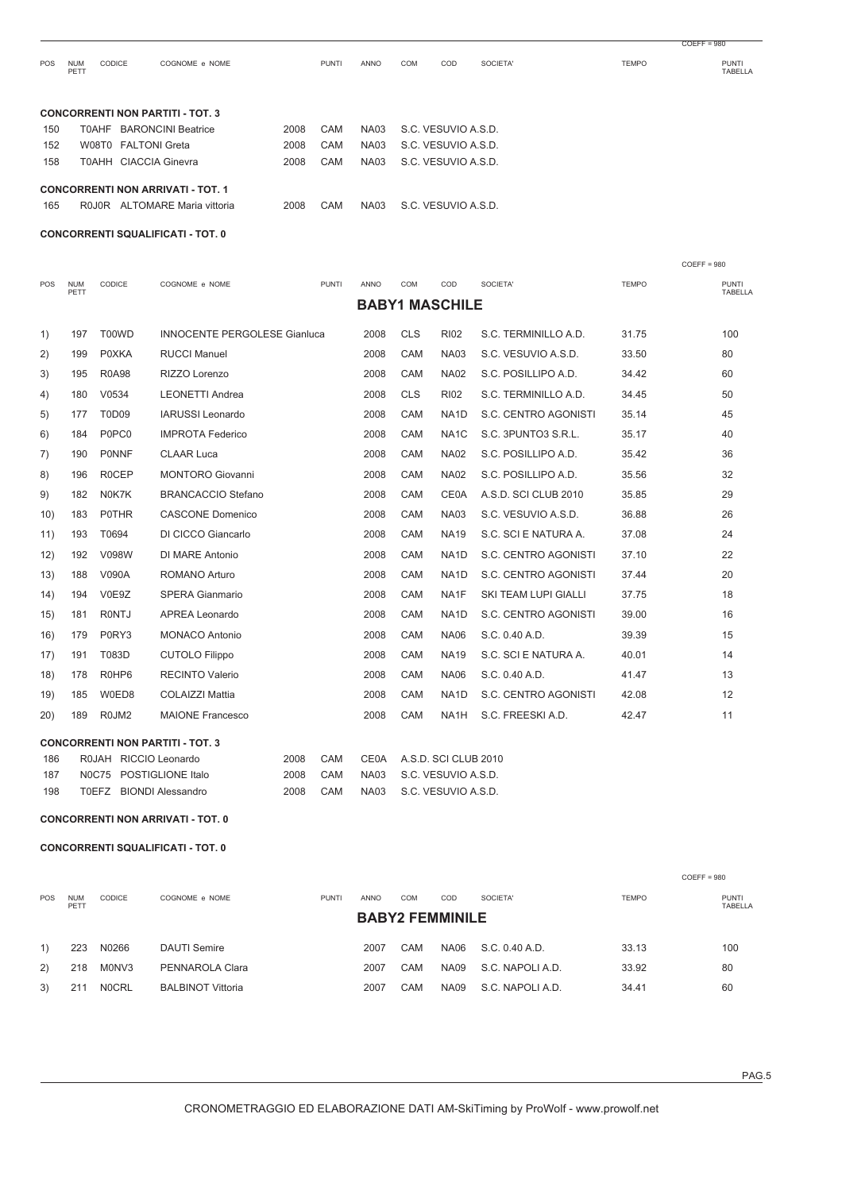| <b>POS</b> | <b>NUM</b><br>PETT | <b>CODICE</b><br>COGNOME e NOME                                           |      | <b>PUNTI</b> | ANNO        | COM | COD                 | SOCIETA' | <b>TEMPO</b> | <b>PUNTI</b><br>TABELLA |
|------------|--------------------|---------------------------------------------------------------------------|------|--------------|-------------|-----|---------------------|----------|--------------|-------------------------|
|            |                    | <b>CONCORRENTI NON PARTITI - TOT. 3</b>                                   |      |              |             |     |                     |          |              |                         |
| 150        | T0AHF              | <b>BARONCINI Beatrice</b>                                                 | 2008 | CAM          | <b>NA03</b> |     | S.C. VESUVIO A.S.D. |          |              |                         |
| 152        |                    | W08T0 FALTONI Greta                                                       | 2008 | CAM          | <b>NA03</b> |     | S.C. VESUVIO A.S.D. |          |              |                         |
| 158        |                    | <b>T0AHH CIACCIA Ginevra</b>                                              | 2008 | CAM          | <b>NA03</b> |     | S.C. VESUVIO A.S.D. |          |              |                         |
| 165        |                    | <b>CONCORRENTI NON ARRIVATI - TOT. 1</b><br>R0J0R ALTOMARE Maria vittoria | 2008 | CAM          | NA03        |     | S.C. VESUVIO A.S.D. |          |              |                         |
|            |                    |                                                                           |      |              |             |     |                     |          |              |                         |

**CONCORRENTI SQUALIFICATI - TOT. 0**

|      |                    |                                |                                         |      |              |             |            |                       |                             |              | $COEFF = 980$           |
|------|--------------------|--------------------------------|-----------------------------------------|------|--------------|-------------|------------|-----------------------|-----------------------------|--------------|-------------------------|
| POS  | <b>NUM</b><br>PETT | CODICE                         | COGNOME e NOME                          |      | <b>PUNTI</b> | <b>ANNO</b> | COM        | COD                   | SOCIETA'                    | <b>TEMPO</b> | <b>PUNTI</b><br>TABELLA |
|      |                    |                                |                                         |      |              |             |            | <b>BABY1 MASCHILE</b> |                             |              |                         |
| 1)   | 197                | T00WD                          | <b>INNOCENTE PERGOLESE Gianluca</b>     |      |              | 2008        | <b>CLS</b> | <b>RI02</b>           | S.C. TERMINILLO A.D.        | 31.75        | 100                     |
| 2)   | 199                | <b>POXKA</b>                   | <b>RUCCI Manuel</b>                     |      |              | 2008        | CAM        | <b>NA03</b>           | S.C. VESUVIO A.S.D.         | 33.50        | 80                      |
| 3)   | 195                | <b>R0A98</b>                   | RIZZO Lorenzo                           |      |              | 2008        | CAM        | <b>NA02</b>           | S.C. POSILLIPO A.D.         | 34.42        | 60                      |
| 4)   | 180                | V0534                          | <b>LEONETTI Andrea</b>                  |      |              | 2008        | <b>CLS</b> | <b>RI02</b>           | S.C. TERMINILLO A.D.        | 34.45        | 50                      |
| 5)   | 177                | T0D09                          | IARUSSI Leonardo                        |      |              | 2008        | CAM        | NA <sub>1</sub> D     | S.C. CENTRO AGONISTI        | 35.14        | 45                      |
| 6)   | 184                | P0PC0                          | <b>IMPROTA Federico</b>                 |      |              | 2008        | CAM        | NA <sub>1</sub> C     | S.C. 3PUNTO3 S.R.L.         | 35.17        | 40                      |
| 7)   | 190                | <b>PONNF</b>                   | <b>CLAAR Luca</b>                       |      |              | 2008        | CAM        | <b>NA02</b>           | S.C. POSILLIPO A.D.         | 35.42        | 36                      |
| 8)   | 196                | <b>ROCEP</b>                   | <b>MONTORO Giovanni</b>                 |      |              | 2008        | CAM        | <b>NA02</b>           | S.C. POSILLIPO A.D.         | 35.56        | 32                      |
| 9)   | 182                | N0K7K                          | <b>BRANCACCIO Stefano</b>               |      |              | 2008        | CAM        | CE0A                  | A.S.D. SCI CLUB 2010        | 35.85        | 29                      |
| 10)  | 183                | <b>POTHR</b>                   | <b>CASCONE Domenico</b>                 |      |              | 2008        | CAM        | <b>NA03</b>           | S.C. VESUVIO A.S.D.         | 36.88        | 26                      |
| 11)  | 193                | T0694                          | DI CICCO Giancarlo                      |      |              | 2008        | CAM        | <b>NA19</b>           | S.C. SCI E NATURA A.        | 37.08        | 24                      |
| 12)  | 192                | V098W                          | DI MARE Antonio                         |      |              | 2008        | CAM        | NA <sub>1</sub> D     | S.C. CENTRO AGONISTI        | 37.10        | 22                      |
| 13)  | 188                | V090A                          | ROMANO Arturo                           |      |              | 2008        | CAM        | NA <sub>1</sub> D     | S.C. CENTRO AGONISTI        | 37.44        | 20                      |
| (14) | 194                | V0E9Z                          | <b>SPERA Gianmario</b>                  |      |              | 2008        | CAM        | NA1F                  | <b>SKI TEAM LUPI GIALLI</b> | 37.75        | 18                      |
| 15)  | 181                | <b>RONTJ</b>                   | <b>APREA Leonardo</b>                   |      |              | 2008        | CAM        | NA <sub>1</sub> D     | S.C. CENTRO AGONISTI        | 39.00        | 16                      |
| 16)  | 179                | P0RY3                          | <b>MONACO Antonio</b>                   |      |              | 2008        | CAM        | <b>NA06</b>           | S.C. 0.40 A.D.              | 39.39        | 15                      |
| 17)  | 191                | T083D                          | <b>CUTOLO Filippo</b>                   |      |              | 2008        | CAM        | <b>NA19</b>           | S.C. SCI E NATURA A.        | 40.01        | 14                      |
| 18)  | 178                | R0HP6                          | <b>RECINTO Valerio</b>                  |      |              | 2008        | CAM        | <b>NA06</b>           | S.C. 0.40 A.D.              | 41.47        | 13                      |
| 19)  | 185                | W0ED8                          | <b>COLAIZZI Mattia</b>                  |      |              | 2008        | CAM        | NA <sub>1</sub> D     | S.C. CENTRO AGONISTI        | 42.08        | 12                      |
| 20)  | 189                | R <sub>0</sub> JM <sub>2</sub> | <b>MAIONE Francesco</b>                 |      |              | 2008        | CAM        | NA <sub>1</sub> H     | S.C. FREESKI A.D.           | 42.47        | 11                      |
|      |                    |                                | <b>CONCORRENTI NON PARTITI - TOT. 3</b> |      |              |             |            |                       |                             |              |                         |
| 186  |                    |                                | R0JAH RICCIO Leonardo                   | 2008 | <b>CAM</b>   | <b>CE0A</b> |            | A.S.D. SCI CLUB 2010  |                             |              |                         |
| 187  |                    |                                | NOC75 POSTIGLIONE Italo                 | 2008 | CAM          | <b>NA03</b> |            | S.C. VESUVIO A.S.D.   |                             |              |                         |
| 198  |                    | TOEFZ                          | <b>BIONDI Alessandro</b>                | 2008 | CAM          | <b>NA03</b> |            | S.C. VESUVIO A.S.D.   |                             |              |                         |

**CONCORRENTI NON ARRIVATI - TOT. 0**

**CONCORRENTI SQUALIFICATI - TOT. 0**

|            |                    |               |                          |              |      |                        |             |                  |              | $CO$ FFF = 980          |  |
|------------|--------------------|---------------|--------------------------|--------------|------|------------------------|-------------|------------------|--------------|-------------------------|--|
| <b>POS</b> | <b>NUM</b><br>PETT | <b>CODICE</b> | COGNOME e NOME           | <b>PUNTI</b> | ANNO | COM<br>SOCIETA'<br>COD |             |                  | <b>TEMPO</b> | <b>PUNTI</b><br>TABELLA |  |
|            |                    |               | <b>BABY2 FEMMINILE</b>   |              |      |                        |             |                  |              |                         |  |
| 1)         | 223                | N0266         | <b>DAUTI Semire</b>      |              | 2007 | CAM                    | NA06        | S.C. 0.40 A.D.   | 33.13        | 100                     |  |
| 2)         | 218                | M0NV3         | PENNAROLA Clara          |              | 2007 | CAM                    | <b>NA09</b> | S.C. NAPOLI A.D. | 33.92        | 80                      |  |
| 3)         | 211                | <b>NOCRL</b>  | <b>BALBINOT Vittoria</b> |              | 2007 | CAM                    | <b>NA09</b> | S.C. NAPOLI A.D. | 34.41        | 60                      |  |

COEFF = 980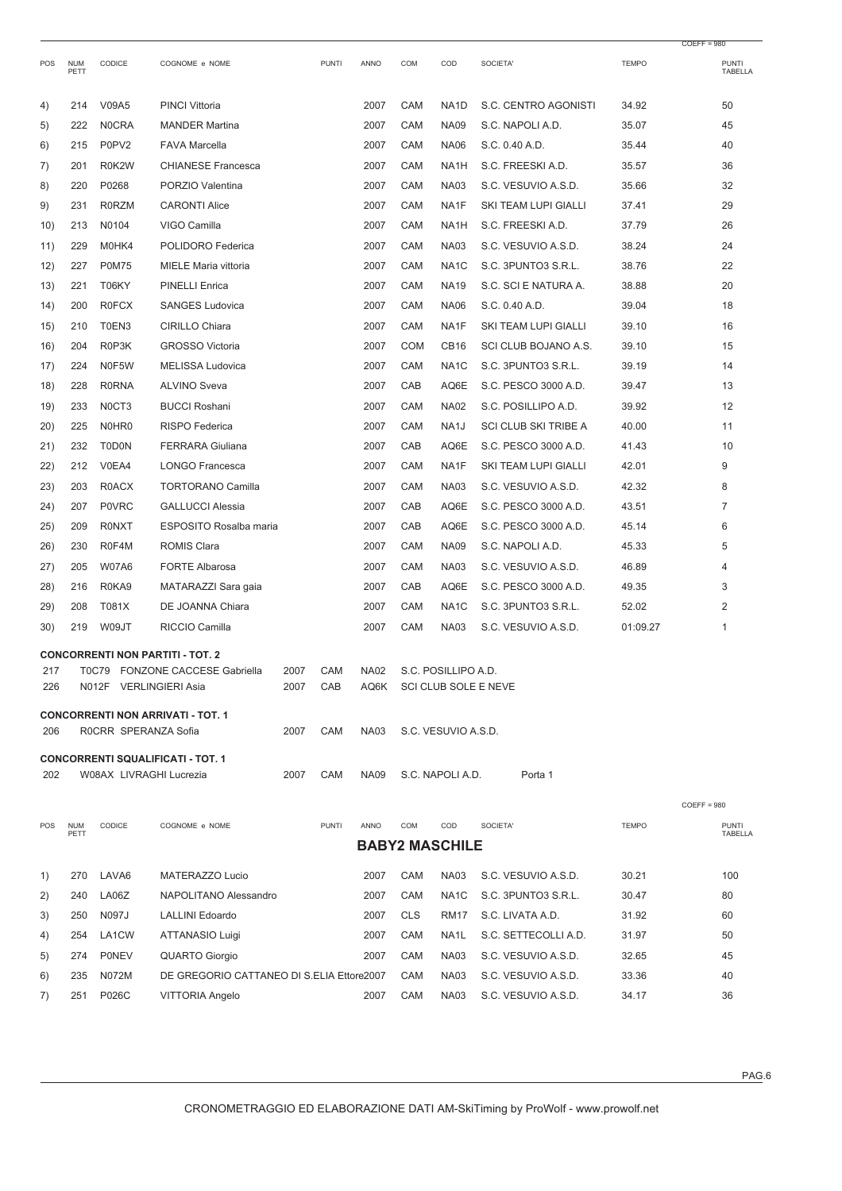|      |                    |                         |                                           |      |              |             |            |                       |                             |              | $COEFF = 980$           |
|------|--------------------|-------------------------|-------------------------------------------|------|--------------|-------------|------------|-----------------------|-----------------------------|--------------|-------------------------|
| POS  | <b>NUM</b><br>PETT | CODICE                  | COGNOME e NOME                            |      | <b>PUNTI</b> | ANNO        | COM        | COD                   | SOCIETA'                    | <b>TEMPO</b> | <b>PUNTI</b><br>TABELLA |
| 4)   | 214                | V09A5                   | <b>PINCI Vittoria</b>                     |      |              | 2007        | CAM        | NA <sub>1</sub> D     | S.C. CENTRO AGONISTI        | 34.92        | 50                      |
| 5)   | 222                | <b>NOCRA</b>            | <b>MANDER Martina</b>                     |      |              | 2007        | CAM        | <b>NA09</b>           | S.C. NAPOLI A.D.            | 35.07        | 45                      |
| 6)   | 215                | P0PV2                   | <b>FAVA Marcella</b>                      |      |              | 2007        | CAM        | <b>NA06</b>           | S.C. 0.40 A.D.              | 35.44        | 40                      |
| 7)   | 201                | R0K2W                   | <b>CHIANESE Francesca</b>                 |      |              | 2007        | CAM        | NA <sub>1</sub> H     | S.C. FREESKI A.D.           | 35.57        | 36                      |
| 8)   | 220                | P0268                   | PORZIO Valentina                          |      |              | 2007        | CAM        | <b>NA03</b>           | S.C. VESUVIO A.S.D.         | 35.66        | 32                      |
| 9)   | 231                | <b>R0RZM</b>            | <b>CARONTI Alice</b>                      |      |              | 2007        | CAM        | NA1F                  | SKI TEAM LUPI GIALLI        | 37.41        | 29                      |
| 10)  | 213                | N0104                   | VIGO Camilla                              |      |              | 2007        | CAM        | NA1H                  | S.C. FREESKI A.D.           | 37.79        | 26                      |
| 11)  | 229                | M0HK4                   | POLIDORO Federica                         |      |              | 2007        | CAM        | <b>NA03</b>           | S.C. VESUVIO A.S.D.         | 38.24        | 24                      |
| 12)  | 227                | <b>P0M75</b>            | MIELE Maria vittoria                      |      |              | 2007        | CAM        | NA <sub>1</sub> C     | S.C. 3PUNTO3 S.R.L.         | 38.76        | 22                      |
| 13)  | 221                | T06KY                   | <b>PINELLI Enrica</b>                     |      |              | 2007        | CAM        | <b>NA19</b>           | S.C. SCI E NATURA A.        | 38.88        | 20                      |
| 14)  | 200                | <b>R0FCX</b>            | <b>SANGES Ludovica</b>                    |      |              | 2007        | CAM        | <b>NA06</b>           | S.C. 0.40 A.D.              | 39.04        | 18                      |
| 15)  | 210                | T0EN3                   | CIRILLO Chiara                            |      |              | 2007        | CAM        | NA1F                  | SKI TEAM LUPI GIALLI        | 39.10        | 16                      |
| 16)  | 204                | R0P3K                   | <b>GROSSO Victoria</b>                    |      |              | 2007        | <b>COM</b> | CB <sub>16</sub>      | SCI CLUB BOJANO A.S.        | 39.10        | 15                      |
| 17)  | 224                | N0F5W                   | <b>MELISSA Ludovica</b>                   |      |              | 2007        | CAM        | NA <sub>1</sub> C     | S.C. 3PUNTO3 S.R.L.         | 39.19        | 14                      |
| 18)  | 228                | <b>R0RNA</b>            | <b>ALVINO Sveva</b>                       |      |              | 2007        | CAB        | AQ6E                  | S.C. PESCO 3000 A.D.        | 39.47        | 13                      |
| 19)  | 233                | NOCT3                   | <b>BUCCI Roshani</b>                      |      |              | 2007        | CAM        | <b>NA02</b>           | S.C. POSILLIPO A.D.         | 39.92        | 12                      |
| 20)  | 225                | N0HR0                   | <b>RISPO</b> Federica                     |      |              | 2007        | CAM        | NA <sub>1</sub> J     | <b>SCI CLUB SKI TRIBE A</b> | 40.00        | 11                      |
| 21)  | 232                | <b>T0D0N</b>            | <b>FERRARA Giuliana</b>                   |      |              | 2007        | CAB        | AQ6E                  | S.C. PESCO 3000 A.D.        | 41.43        | 10                      |
| (22) | 212                | V0EA4                   | <b>LONGO Francesca</b>                    |      |              | 2007        | CAM        | NA1F                  | SKI TEAM LUPI GIALLI        | 42.01        | 9                       |
| 23)  | 203                | R0ACX                   | <b>TORTORANO Camilla</b>                  |      |              | 2007        | CAM        | <b>NA03</b>           | S.C. VESUVIO A.S.D.         | 42.32        | 8                       |
| 24)  | 207                | <b>P0VRC</b>            | <b>GALLUCCI Alessia</b>                   |      |              | 2007        | CAB        | AQ6E                  | S.C. PESCO 3000 A.D.        | 43.51        | 7                       |
| 25)  | 209                | <b>RONXT</b>            | <b>ESPOSITO Rosalba maria</b>             |      |              | 2007        | CAB        | AQ6E                  | S.C. PESCO 3000 A.D.        | 45.14        | 6                       |
| 26)  | 230                | R0F4M                   | <b>ROMIS Clara</b>                        |      |              | 2007        | CAM        | <b>NA09</b>           | S.C. NAPOLI A.D.            | 45.33        | 5                       |
| 27)  | 205                | <b>W07A6</b>            | <b>FORTE Albarosa</b>                     |      |              | 2007        | CAM        | <b>NA03</b>           | S.C. VESUVIO A.S.D.         | 46.89        | 4                       |
| 28)  | 216                | R0KA9                   | MATARAZZI Sara gaia                       |      |              | 2007        | CAB        | AQ6E                  | S.C. PESCO 3000 A.D.        | 49.35        | 3                       |
| 29)  | 208                | T081X                   | DE JOANNA Chiara                          |      |              | 2007        | CAM        | NA <sub>1</sub> C     | S.C. 3PUNTO3 S.R.L.         | 52.02        | 2                       |
| 30)  | 219                | W09JT                   | RICCIO Camilla                            |      |              | 2007        | CAM        | <b>NA03</b>           | S.C. VESUVIO A.S.D.         | 01:09.27     | 1                       |
|      |                    |                         | <b>CONCORRENTI NON PARTITI - TOT. 2</b>   |      |              |             |            |                       |                             |              |                         |
| 217  |                    |                         | <b>FONZONE CACCESE Gabriella</b>          | 2007 | CAM          | <b>NA02</b> |            | S.C. POSILLIPO A.D.   |                             |              |                         |
| 226  |                    | N012F VERLINGIERI Asia  |                                           | 2007 | CAB          | AQ6K        |            |                       | SCI CLUB SOLE E NEVE        |              |                         |
|      |                    |                         | <b>CONCORRENTI NON ARRIVATI - TOT. 1</b>  |      |              |             |            |                       |                             |              |                         |
| 206  |                    | ROCRR SPERANZA Sofia    |                                           | 2007 | CAM          | <b>NA03</b> |            | S.C. VESUVIO A.S.D.   |                             |              |                         |
| 202  |                    | W08AX LIVRAGHI Lucrezia | <b>CONCORRENTI SQUALIFICATI - TOT. 1</b>  | 2007 | CAM          | <b>NA09</b> |            | S.C. NAPOLI A.D.      | Porta 1                     |              |                         |
|      |                    |                         |                                           |      |              |             |            |                       |                             |              |                         |
|      |                    |                         |                                           |      |              |             |            |                       |                             |              | $COEFF = 980$           |
| POS  | <b>NUM</b><br>PETT | CODICE                  | COGNOME e NOME                            |      | <b>PUNTI</b> | ANNO        | COM        | COD                   | SOCIETA'                    | <b>TEMPO</b> | PUNTI<br>TABELLA        |
|      |                    |                         |                                           |      |              |             |            | <b>BABY2 MASCHILE</b> |                             |              |                         |
| 1)   | 270                | LAVA6                   | MATERAZZO Lucio                           |      |              | 2007        | CAM        | <b>NA03</b>           | S.C. VESUVIO A.S.D.         | 30.21        | 100                     |
| 2)   | 240                | LA06Z                   | NAPOLITANO Alessandro                     |      |              | 2007        | CAM        | NA <sub>1</sub> C     | S.C. 3PUNTO3 S.R.L.         | 30.47        | 80                      |
| 3)   | 250                | N097J                   | <b>LALLINI Edoardo</b>                    |      |              | 2007        | <b>CLS</b> | <b>RM17</b>           | S.C. LIVATA A.D.            | 31.92        | 60                      |
| 4)   | 254                | LA1CW                   | ATTANASIO Luigi                           |      |              | 2007        | CAM        | NA1L                  | S.C. SETTECOLLI A.D.        | 31.97        | 50                      |
| 5)   | 274                | <b>PONEV</b>            | <b>QUARTO Giorgio</b>                     |      |              | 2007        | CAM        | <b>NA03</b>           | S.C. VESUVIO A.S.D.         | 32.65        | 45                      |
| 6)   | 235                | N072M                   | DE GREGORIO CATTANEO DI S.ELIA Ettore2007 |      |              |             | CAM        | <b>NA03</b>           | S.C. VESUVIO A.S.D.         | 33.36        | 40                      |
| 7)   | 251                | P026C                   | VITTORIA Angelo                           |      |              | 2007        | CAM        | <b>NA03</b>           | S.C. VESUVIO A.S.D.         | 34.17        | 36                      |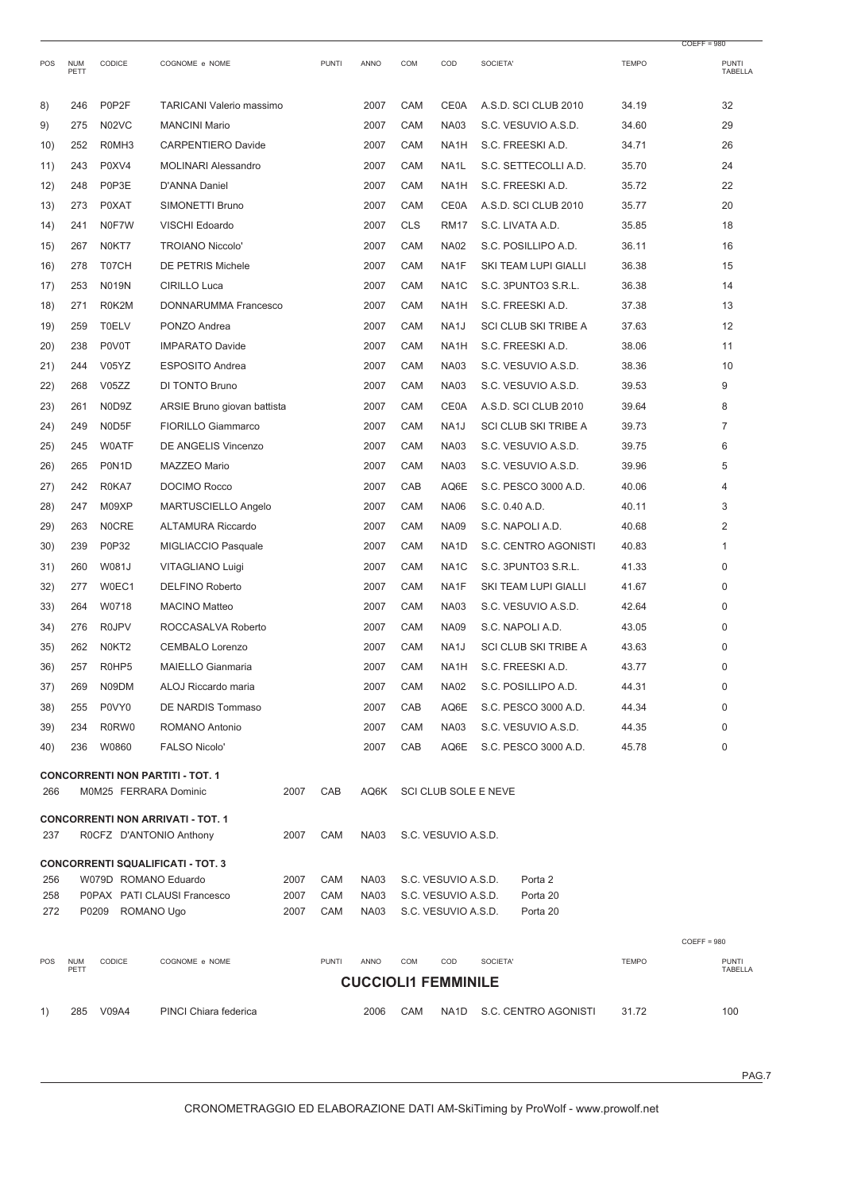|            |                    |                       |                                          |              |              |                            |            |                                            |                                |              | $COEFF = 980$           |
|------------|--------------------|-----------------------|------------------------------------------|--------------|--------------|----------------------------|------------|--------------------------------------------|--------------------------------|--------------|-------------------------|
| POS        | <b>NUM</b><br>PETT | CODICE                | COGNOME e NOME                           |              | <b>PUNTI</b> | ANNO                       | COM        | COD                                        | SOCIETA'                       | <b>TEMPO</b> | <b>PUNTI</b><br>TABELLA |
| 8)         | 246                | P0P2F                 | <b>TARICANI Valerio massimo</b>          |              |              | 2007                       | CAM        | <b>CE0A</b>                                | A.S.D. SCI CLUB 2010           | 34.19        | 32                      |
| 9)         | 275                | N02VC                 | <b>MANCINI Mario</b>                     |              |              | 2007                       | CAM        | <b>NA03</b>                                | S.C. VESUVIO A.S.D.            | 34.60        | 29                      |
| 10)        | 252                | R0MH3                 | <b>CARPENTIERO Davide</b>                |              |              | 2007                       | CAM        | NA <sub>1</sub> H                          | S.C. FREESKI A.D.              | 34.71        | 26                      |
| 11)        | 243                | P0XV4                 | <b>MOLINARI Alessandro</b>               |              |              | 2007                       | CAM        | NA1L                                       | S.C. SETTECOLLI A.D.           | 35.70        | 24                      |
| 12)        | 248                | P0P3E                 | <b>D'ANNA Daniel</b>                     |              |              | 2007                       | CAM        | NA <sub>1</sub> H                          | S.C. FREESKI A.D.              | 35.72        | 22                      |
| 13)        | 273                | <b>P0XAT</b>          | SIMONETTI Bruno                          |              |              | 2007                       | CAM        | <b>CE0A</b>                                | A.S.D. SCI CLUB 2010           | 35.77        | 20                      |
| 14)        | 241                | N0F7W                 | VISCHI Edoardo                           |              |              | 2007                       | <b>CLS</b> | <b>RM17</b>                                | S.C. LIVATA A.D.               | 35.85        | 18                      |
| 15)        | 267                | N0KT7                 | <b>TROIANO Niccolo'</b>                  |              |              | 2007                       | CAM        | <b>NA02</b>                                | S.C. POSILLIPO A.D.            | 36.11        | 16                      |
| 16)        | 278                | T07CH                 | <b>DE PETRIS Michele</b>                 |              |              | 2007                       | CAM        | NA1F                                       | SKI TEAM LUPI GIALLI           | 36.38        | 15                      |
| 17)        | 253                | <b>N019N</b>          | <b>CIRILLO Luca</b>                      |              |              | 2007                       | CAM        | NA <sub>1</sub> C                          | S.C. 3PUNTO3 S.R.L.            | 36.38        | 14                      |
| 18)        | 271                | R0K2M                 | DONNARUMMA Francesco                     |              |              | 2007                       | CAM        | NA <sub>1</sub> H                          | S.C. FREESKI A.D.              | 37.38        | 13                      |
| 19)        | 259                | <b>T0ELV</b>          | PONZO Andrea                             |              |              | 2007                       | CAM        | NA <sub>1</sub> J                          | <b>SCI CLUB SKI TRIBE A</b>    | 37.63        | 12                      |
| 20)        | 238                | P0V0T                 | <b>IMPARATO Davide</b>                   |              |              | 2007                       | CAM        | NA <sub>1</sub> H                          | S.C. FREESKI A.D.              | 38.06        | 11                      |
| 21)        | 244                | V05YZ                 | <b>ESPOSITO Andrea</b>                   |              |              | 2007                       | CAM        | <b>NA03</b>                                | S.C. VESUVIO A.S.D.            | 38.36        | 10                      |
| 22)        | 268                | V05ZZ                 | DI TONTO Bruno                           |              |              | 2007                       | CAM        | <b>NA03</b>                                | S.C. VESUVIO A.S.D.            | 39.53        | 9                       |
| 23)        | 261                | N0D9Z                 | ARSIE Bruno giovan battista              |              |              | 2007                       | CAM        | <b>CE0A</b>                                | A.S.D. SCI CLUB 2010           | 39.64        | 8                       |
| 24)        | 249                | N0D5F                 | <b>FIORILLO Giammarco</b>                |              |              | 2007                       | CAM        | NA <sub>1</sub> J                          | <b>SCI CLUB SKI TRIBE A</b>    | 39.73        | $\overline{7}$          |
| 25)        | 245                | <b>WOATF</b>          | DE ANGELIS Vincenzo                      |              |              | 2007                       | CAM        | <b>NA03</b>                                | S.C. VESUVIO A.S.D.            | 39.75        | 6                       |
| 26)        | 265                | P0N <sub>1</sub> D    | MAZZEO Mario                             |              |              | 2007                       | CAM        | <b>NA03</b>                                | S.C. VESUVIO A.S.D.            | 39.96        | 5                       |
| 27)        | 242                | R0KA7                 | <b>DOCIMO Rocco</b>                      |              |              | 2007                       | CAB        | AQ6E                                       | S.C. PESCO 3000 A.D.           | 40.06        | 4                       |
| 28)        | 247                | M09XP                 | MARTUSCIELLO Angelo                      |              |              | 2007                       | CAM        | <b>NA06</b>                                | S.C. 0.40 A.D.                 | 40.11        | 3                       |
| 29)        | 263                | <b>NOCRE</b>          | ALTAMURA Riccardo                        |              |              | 2007                       | CAM        | <b>NA09</b>                                | S.C. NAPOLI A.D.               | 40.68        | $\overline{2}$          |
| 30)        | 239                | P0P32                 | MIGLIACCIO Pasquale                      |              |              | 2007                       | CAM        | NA <sub>1</sub> D                          | S.C. CENTRO AGONISTI           | 40.83        | 1                       |
| 31)        | 260                | W081J                 | VITAGLIANO Luigi                         |              |              | 2007                       | CAM        | NA <sub>1</sub> C                          | S.C. 3PUNTO3 S.R.L.            | 41.33        | 0                       |
| 32)        | 277                | W0EC1                 | <b>DELFINO Roberto</b>                   |              |              | 2007                       | CAM        | NA1F                                       | SKI TEAM LUPI GIALLI           | 41.67        | $\Omega$                |
| 33)        | 264                | W0718                 | <b>MACINO Matteo</b>                     |              |              | 2007                       | CAM        | <b>NA03</b>                                | S.C. VESUVIO A.S.D.            | 42.64        | $\Omega$                |
| 34)        | 276                | <b>R0JPV</b>          | ROCCASALVA Roberto                       |              |              | 2007                       | CAM        | <b>NA09</b>                                | S.C. NAPOLI A.D.               | 43.05        | $\Omega$                |
| 35)        | 262                | N0KT2                 | <b>CEMBALO Lorenzo</b>                   |              |              | 2007                       | CAM        | NA <sub>1</sub> J                          | <b>SCI CLUB SKI TRIBE A</b>    | 43.63        | 0                       |
| 36)        | 257                | R0HP5                 | <b>MAIELLO Gianmaria</b>                 |              |              | 2007                       | CAM        | NA1H                                       | S.C. FREESKI A.D.              | 43.77        | $\Omega$                |
| 37)        | 269                | N09DM                 | ALOJ Riccardo maria                      |              |              | 2007                       | <b>CAM</b> | <b>NA02</b>                                | S.C. POSILLIPO A.D.            | 44.31        | 0                       |
| 38)        | 255                | P0VY0                 | DE NARDIS Tommaso                        |              |              | 2007                       | CAB        | AQ6E                                       | S.C. PESCO 3000 A.D.           | 44.34        | 0                       |
| 39)        | 234                | R0RW0                 | ROMANO Antonio                           |              |              | 2007                       | <b>CAM</b> | <b>NA03</b>                                | S.C. VESUVIO A.S.D.            | 44.35        | 0                       |
| 40)        | 236                | W0860                 | <b>FALSO Nicolo'</b>                     |              |              | 2007                       | CAB        | AQ6E                                       | S.C. PESCO 3000 A.D.           | 45.78        | 0                       |
|            |                    |                       | <b>CONCORRENTI NON PARTITI - TOT. 1</b>  |              |              |                            |            |                                            |                                |              |                         |
| 266        |                    | M0M25 FERRARA Dominic |                                          | 2007         | CAB          | AQ6K                       |            |                                            | SCI CLUB SOLE E NEVE           |              |                         |
|            |                    |                       | <b>CONCORRENTI NON ARRIVATI - TOT. 1</b> |              |              |                            |            |                                            |                                |              |                         |
| 237        |                    |                       | ROCFZ D'ANTONIO Anthony                  | 2007         | CAM          | <b>NA03</b>                |            | S.C. VESUVIO A.S.D.                        |                                |              |                         |
|            |                    |                       | <b>CONCORRENTI SQUALIFICATI - TOT. 3</b> |              |              |                            |            |                                            |                                |              |                         |
| 256<br>258 |                    | W079D ROMANO Eduardo  | P0PAX PATI CLAUSI Francesco              | 2007<br>2007 | CAM<br>CAM   | <b>NA03</b><br><b>NA03</b> |            | S.C. VESUVIO A.S.D.<br>S.C. VESUVIO A.S.D. | Porta <sub>2</sub><br>Porta 20 |              |                         |
| 272        |                    | P0209 ROMANO Ugo      |                                          | 2007         | CAM          | <b>NA03</b>                |            | S.C. VESUVIO A.S.D.                        | Porta 20                       |              |                         |
|            |                    |                       |                                          |              |              |                            |            |                                            |                                |              |                         |
|            |                    |                       |                                          |              |              |                            |            |                                            |                                |              | $COEFF = 980$           |
| POS        | <b>NUM</b><br>PETT | CODICE                | COGNOME e NOME                           |              | <b>PUNTI</b> | ANNO                       | COM        | COD                                        | SOCIETA'                       | <b>TEMPO</b> | <b>PUNTI</b><br>TABELLA |
|            |                    |                       |                                          |              |              |                            |            | <b>CUCCIOLI1 FEMMINILE</b>                 |                                |              |                         |
| 1)         | 285                | V09A4                 | PINCI Chiara federica                    |              |              | 2006                       | CAM        | NA1D                                       | S.C. CENTRO AGONISTI           | 31.72        | 100                     |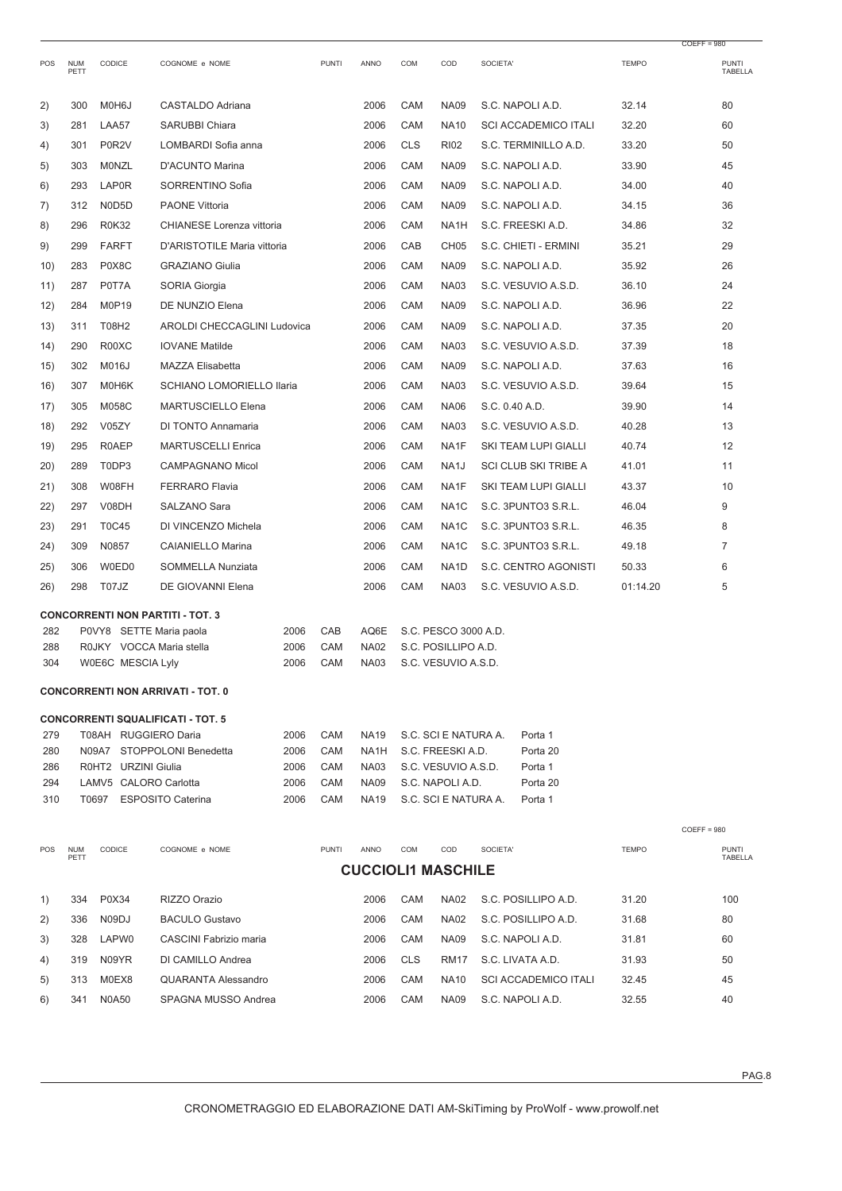|            |                    |                                                     |                                          |              |              |                                   |            |                                            |                             |              | $COEFF = 980$           |
|------------|--------------------|-----------------------------------------------------|------------------------------------------|--------------|--------------|-----------------------------------|------------|--------------------------------------------|-----------------------------|--------------|-------------------------|
| POS        | <b>NUM</b><br>PETT | CODICE                                              | COGNOME e NOME                           |              | <b>PUNTI</b> | ANNO                              | COM        | COD                                        | SOCIETA'                    | <b>TEMPO</b> | <b>PUNTI</b><br>TABELLA |
| 2)         | 300                | M0H6J                                               | CASTALDO Adriana                         |              |              | 2006                              | CAM        | <b>NA09</b>                                | S.C. NAPOLI A.D.            | 32.14        | 80                      |
| 3)         | 281                | LAA57                                               | SARUBBI Chiara                           |              |              | 2006                              | CAM        | <b>NA10</b>                                | <b>SCI ACCADEMICO ITALI</b> | 32.20        | 60                      |
| 4)         | 301                | P0R2V                                               | LOMBARDI Sofia anna                      |              |              | 2006                              | <b>CLS</b> | <b>RI02</b>                                | S.C. TERMINILLO A.D.        | 33.20        | 50                      |
| 5)         | 303                | MONZL                                               | D'ACUNTO Marina                          |              |              | 2006                              | CAM        | <b>NA09</b>                                | S.C. NAPOLI A.D.            | 33.90        | 45                      |
| 6)         | 293                | LAP0R                                               | SORRENTINO Sofia                         |              |              | 2006                              | CAM        | <b>NA09</b>                                | S.C. NAPOLI A.D.            | 34.00        | 40                      |
| 7)         | 312                | N0D5D                                               | <b>PAONE Vittoria</b>                    |              |              | 2006                              | CAM        | <b>NA09</b>                                | S.C. NAPOLI A.D.            | 34.15        | 36                      |
| 8)         | 296                | <b>R0K32</b>                                        | CHIANESE Lorenza vittoria                |              |              | 2006                              | CAM        | NA <sub>1</sub> H                          | S.C. FREESKI A.D.           | 34.86        | 32                      |
| 9)         | 299                | <b>FARFT</b>                                        | D'ARISTOTILE Maria vittoria              |              |              | 2006                              | CAB        | CH <sub>05</sub>                           | S.C. CHIETI - ERMINI        | 35.21        | 29                      |
| 10)        | 283                | P0X8C                                               | <b>GRAZIANO Giulia</b>                   |              |              | 2006                              | CAM        | <b>NA09</b>                                | S.C. NAPOLI A.D.            | 35.92        | 26                      |
| 11)        | 287                | P0T7A                                               | SORIA Giorgia                            |              |              | 2006                              | CAM        | <b>NA03</b>                                | S.C. VESUVIO A.S.D.         | 36.10        | 24                      |
| 12)        | 284                | M0P19                                               | DE NUNZIO Elena                          |              |              | 2006                              | CAM        | <b>NA09</b>                                | S.C. NAPOLI A.D.            | 36.96        | 22                      |
| 13)        | 311                | T08H2                                               | <b>AROLDI CHECCAGLINI Ludovica</b>       |              |              | 2006                              | CAM        | <b>NA09</b>                                | S.C. NAPOLI A.D.            | 37.35        | 20                      |
| 14)        | 290                | R00XC                                               | <b>IOVANE Matilde</b>                    |              |              | 2006                              | CAM        | <b>NA03</b>                                | S.C. VESUVIO A.S.D.         | 37.39        | 18                      |
| 15)        | 302                | M016J                                               | <b>MAZZA Elisabetta</b>                  |              |              | 2006                              | CAM        | <b>NA09</b>                                | S.C. NAPOLI A.D.            | 37.63        | 16                      |
| 16)        | 307                | M0H6K                                               | SCHIANO LOMORIELLO Ilaria                |              |              | 2006                              | CAM        | <b>NA03</b>                                | S.C. VESUVIO A.S.D.         | 39.64        | 15                      |
| 17)        | 305                | M058C                                               | <b>MARTUSCIELLO Elena</b>                |              |              | 2006                              | CAM        | <b>NA06</b>                                | S.C. 0.40 A.D.              | 39.90        | 14                      |
| 18)        | 292                | V05ZY                                               | DI TONTO Annamaria                       |              |              | 2006                              | CAM        | <b>NA03</b>                                | S.C. VESUVIO A.S.D.         | 40.28        | 13                      |
| 19)        | 295                | R0AEP                                               | <b>MARTUSCELLI Enrica</b>                |              |              | 2006                              | CAM        | NA1F                                       | SKI TEAM LUPI GIALLI        | 40.74        | 12                      |
| 20)        | 289                | T0DP3                                               | <b>CAMPAGNANO Micol</b>                  |              |              | 2006                              | CAM        | NA <sub>1</sub> J                          | <b>SCI CLUB SKI TRIBE A</b> | 41.01        | 11                      |
| 21)        | 308                | W08FH                                               | <b>FERRARO Flavia</b>                    |              |              | 2006                              | CAM        | NA1F                                       | SKI TEAM LUPI GIALLI        | 43.37        | 10                      |
| 22)        | 297                | V08DH                                               | SALZANO Sara                             |              |              | 2006                              | CAM        | NA <sub>1</sub> C                          | S.C. 3PUNTO3 S.R.L.         | 46.04        | 9                       |
| 23)        | 291                | <b>T0C45</b>                                        | DI VINCENZO Michela                      |              |              | 2006                              | CAM        | NA <sub>1</sub> C                          | S.C. 3PUNTO3 S.R.L.         | 46.35        | 8                       |
| 24)        | 309                | N0857                                               | <b>CAIANIELLO Marina</b>                 |              |              | 2006                              | CAM        | NA <sub>1</sub> C                          | S.C. 3PUNTO3 S.R.L.         | 49.18        | 7                       |
| 25)        | 306                | W0ED0                                               | SOMMELLA Nunziata                        |              |              | 2006                              | CAM        | NA <sub>1</sub> D                          | S.C. CENTRO AGONISTI        | 50.33        | 6                       |
| 26)        | 298                | T07JZ                                               | <b>DE GIOVANNI Elena</b>                 |              |              | 2006                              | CAM        | <b>NA03</b>                                | S.C. VESUVIO A.S.D.         | 01:14.20     | 5                       |
|            |                    |                                                     | <b>CONCORRENTI NON PARTITI - TOT. 3</b>  |              |              |                                   |            |                                            |                             |              |                         |
| 282<br>288 |                    | P0VY8 SETTE Maria paola<br>R0JKY VOCCA Maria stella |                                          | 2006<br>2006 | CAB<br>CAM   | AQ6E<br><b>NA02</b>               |            | S.C. PESCO 3000 A.D.                       |                             |              |                         |
| 304        |                    | W0E6C MESCIA Lyly                                   |                                          | 2006         | CAM          | <b>NA03</b>                       |            | S.C. POSILLIPO A.D.<br>S.C. VESUVIO A.S.D. |                             |              |                         |
|            |                    |                                                     | <b>CONCORRENTI NON ARRIVATI - TOT. 0</b> |              |              |                                   |            |                                            |                             |              |                         |
|            |                    |                                                     |                                          |              |              |                                   |            |                                            |                             |              |                         |
| 279        |                    | T08AH RUGGIERO Daria                                | <b>CONCORRENTI SQUALIFICATI - TOT. 5</b> | 2006         | CAM          | <b>NA19</b>                       |            | S.C. SCI E NATURA A.                       | Porta 1                     |              |                         |
| 280        |                    |                                                     | N09A7 STOPPOLONI Benedetta               | 2006         | CAM          | NA1H                              |            | S.C. FREESKI A.D.                          | Porta 20                    |              |                         |
| 286        |                    | R0HT2 URZINI Giulia                                 |                                          | 2006         | CAM          | <b>NA03</b>                       |            | S.C. VESUVIO A.S.D.                        | Porta 1                     |              |                         |
| 294<br>310 |                    | LAMV5 CALORO Carlotta<br>T0697                      | <b>ESPOSITO Caterina</b>                 | 2006<br>2006 | CAM<br>CAM   | <b>NA09</b><br><b>NA19</b>        |            | S.C. NAPOLI A.D.<br>S.C. SCI E NATURA A.   | Porta 20<br>Porta 1         |              |                         |
|            |                    |                                                     |                                          |              |              |                                   |            |                                            |                             |              |                         |
|            |                    |                                                     |                                          |              |              |                                   |            |                                            |                             |              | $COEFF = 980$           |
| POS        | <b>NUM</b><br>PETT | CODICE                                              | COGNOME e NOME                           |              | <b>PUNTI</b> | ANNO<br><b>CUCCIOLI1 MASCHILE</b> | COM        | COD                                        | SOCIETA'                    | <b>TEMPO</b> | <b>PUNTI</b><br>TABELLA |
|            |                    |                                                     |                                          |              |              |                                   |            |                                            |                             |              |                         |
| 1)         | 334                | P0X34                                               | RIZZO Orazio                             |              |              | 2006                              | CAM        | <b>NA02</b>                                | S.C. POSILLIPO A.D.         | 31.20        | 100                     |
| 2)         | 336                | N09DJ                                               | <b>BACULO Gustavo</b>                    |              |              | 2006                              | CAM        | <b>NA02</b>                                | S.C. POSILLIPO A.D.         | 31.68        | 80                      |
| 3)         | 328                | LAPW0                                               | CASCINI Fabrizio maria                   |              |              | 2006                              | CAM        | <b>NA09</b>                                | S.C. NAPOLI A.D.            | 31.81        | 60                      |
| 4)         | 319                | N09YR                                               | DI CAMILLO Andrea                        |              |              | 2006                              | <b>CLS</b> | <b>RM17</b>                                | S.C. LIVATA A.D.            | 31.93        | 50                      |
| 5)         | 313                | M0EX8                                               | <b>QUARANTA Alessandro</b>               |              |              | 2006                              | CAM        | NA10                                       | <b>SCI ACCADEMICO ITALI</b> | 32.45        | 45                      |
| 6)         | 341                | <b>N0A50</b>                                        | SPAGNA MUSSO Andrea                      |              |              | 2006                              | CAM        | <b>NA09</b>                                | S.C. NAPOLI A.D.            | 32.55        | 40                      |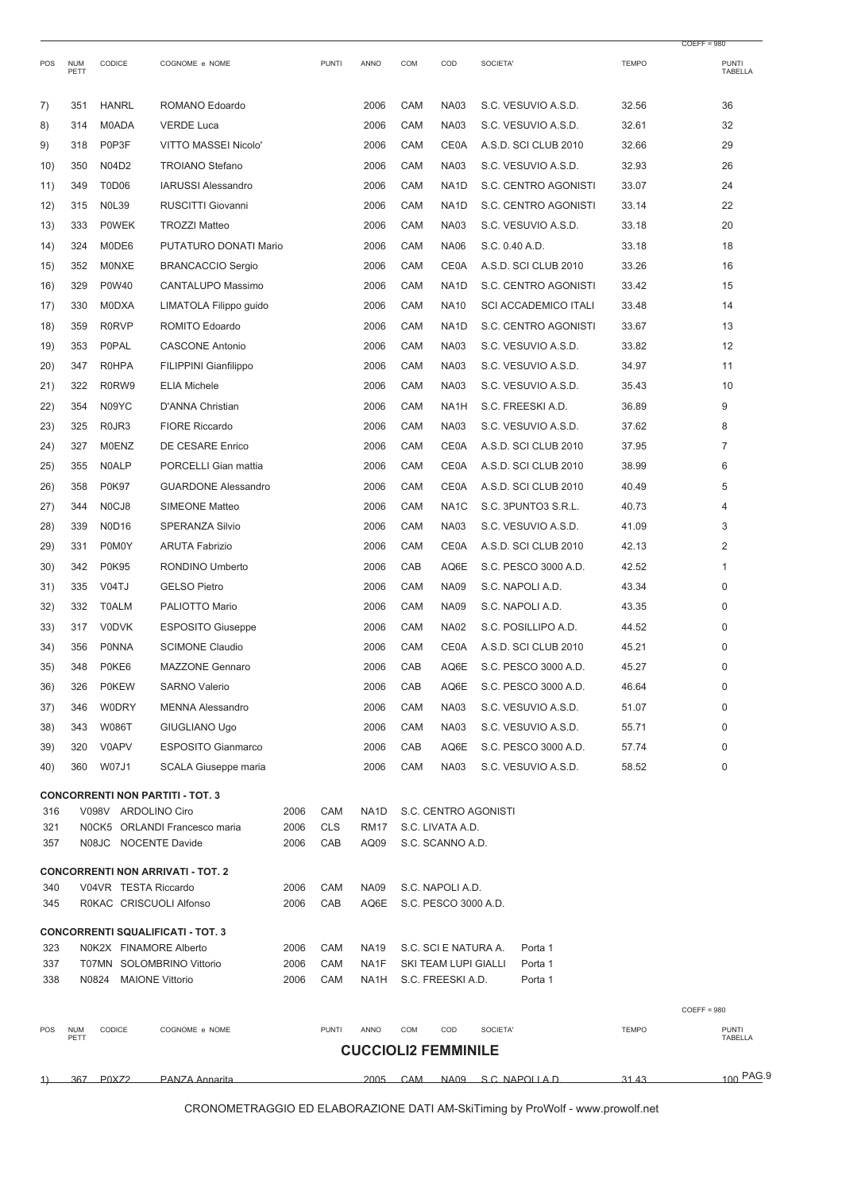|      |                    |                                |                                          |      |              |                            |            |                      |                             |              | $COEFF = 980$           |
|------|--------------------|--------------------------------|------------------------------------------|------|--------------|----------------------------|------------|----------------------|-----------------------------|--------------|-------------------------|
| POS  | <b>NUM</b><br>PETT | CODICE                         | COGNOME e NOME                           |      | <b>PUNTI</b> | ANNO                       | COM        | COD                  | SOCIETA'                    | <b>TEMPO</b> | <b>PUNTI</b><br>TABELLA |
| 7)   | 351                | <b>HANRL</b>                   | ROMANO Edoardo                           |      |              | 2006                       | CAM        | <b>NA03</b>          | S.C. VESUVIO A.S.D.         | 32.56        | 36                      |
| 8)   | 314                | M0ADA                          | <b>VERDE Luca</b>                        |      |              | 2006                       | CAM        | <b>NA03</b>          | S.C. VESUVIO A.S.D.         | 32.61        | 32                      |
| 9)   | 318                | P0P3F                          | VITTO MASSEI Nicolo'                     |      |              | 2006                       | CAM        | <b>CE0A</b>          | A.S.D. SCI CLUB 2010        | 32.66        | 29                      |
| 10)  | 350                | N04D2                          | <b>TROIANO Stefano</b>                   |      |              | 2006                       | CAM        | <b>NA03</b>          | S.C. VESUVIO A.S.D.         | 32.93        | 26                      |
| 11)  | 349                | T0D06                          | <b>IARUSSI Alessandro</b>                |      |              | 2006                       | CAM        | NA <sub>1</sub> D    | S.C. CENTRO AGONISTI        | 33.07        | 24                      |
| 12)  | 315                | <b>NOL39</b>                   | RUSCITTI Giovanni                        |      |              | 2006                       | CAM        | NA <sub>1</sub> D    | S.C. CENTRO AGONISTI        | 33.14        | 22                      |
| 13)  | 333                | <b>POWEK</b>                   | <b>TROZZI Matteo</b>                     |      |              | 2006                       | CAM        | <b>NA03</b>          | S.C. VESUVIO A.S.D.         | 33.18        | 20                      |
| 14)  | 324                | M0DE6                          | PUTATURO DONATI Mario                    |      |              | 2006                       | CAM        | <b>NA06</b>          | S.C. 0.40 A.D.              | 33.18        | 18                      |
| 15)  | 352                | <b>MONXE</b>                   | <b>BRANCACCIO Sergio</b>                 |      |              | 2006                       | CAM        | <b>CE0A</b>          | A.S.D. SCI CLUB 2010        | 33.26        | 16                      |
| 16)  | 329                | P0W40                          | CANTALUPO Massimo                        |      |              | 2006                       | CAM        | NA <sub>1</sub> D    | S.C. CENTRO AGONISTI        | 33.42        | 15                      |
| 17)  | 330                | <b>M0DXA</b>                   | LIMATOLA Filippo guido                   |      |              | 2006                       | CAM        | <b>NA10</b>          | <b>SCI ACCADEMICO ITALI</b> | 33.48        | 14                      |
| 18)  | 359                | <b>R0RVP</b>                   | ROMITO Edoardo                           |      |              | 2006                       | CAM        | NA <sub>1</sub> D    | S.C. CENTRO AGONISTI        | 33.67        | 13                      |
| 19)  | 353                | <b>P0PAL</b>                   | <b>CASCONE Antonio</b>                   |      |              | 2006                       | CAM        | <b>NA03</b>          | S.C. VESUVIO A.S.D.         | 33.82        | 12                      |
| (20) | 347                | <b>R0HPA</b>                   | FILIPPINI Gianfilippo                    |      |              | 2006                       | CAM        | <b>NA03</b>          | S.C. VESUVIO A.S.D.         | 34.97        | 11                      |
| 21)  | 322                | R0RW9                          | <b>ELIA Michele</b>                      |      |              | 2006                       | CAM        | <b>NA03</b>          | S.C. VESUVIO A.S.D.         | 35.43        | 10                      |
| 22)  | 354                | N09YC                          | D'ANNA Christian                         |      |              | 2006                       | CAM        | NA <sub>1</sub> H    | S.C. FREESKI A.D.           | 36.89        | 9                       |
| 23)  | 325                | R <sub>0</sub> JR <sub>3</sub> | <b>FIORE Riccardo</b>                    |      |              | 2006                       | CAM        | <b>NA03</b>          | S.C. VESUVIO A.S.D.         | 37.62        | 8                       |
| 24)  | 327                | <b>M0ENZ</b>                   | DE CESARE Enrico                         |      |              | 2006                       | CAM        | <b>CE0A</b>          | A.S.D. SCI CLUB 2010        | 37.95        | 7                       |
| 25)  | 355                | <b>N0ALP</b>                   | PORCELLI Gian mattia                     |      |              | 2006                       | CAM        | <b>CE0A</b>          | A.S.D. SCI CLUB 2010        | 38.99        | 6                       |
| 26)  | 358                | <b>P0K97</b>                   | <b>GUARDONE Alessandro</b>               |      |              | 2006                       | CAM        | <b>CE0A</b>          | A.S.D. SCI CLUB 2010        | 40.49        | 5                       |
| 27)  | 344                | N <sub>0</sub> CJ <sub>8</sub> | <b>SIMEONE Matteo</b>                    |      |              | 2006                       | CAM        | NA <sub>1</sub> C    | S.C. 3PUNTO3 S.R.L.         | 40.73        | 4                       |
| 28)  | 339                | <b>N0D16</b>                   | <b>SPERANZA Silvio</b>                   |      |              | 2006                       | CAM        | <b>NA03</b>          | S.C. VESUVIO A.S.D.         | 41.09        | 3                       |
| 29)  | 331                | P0M0Y                          | <b>ARUTA Fabrizio</b>                    |      |              | 2006                       | CAM        | <b>CE0A</b>          | A.S.D. SCI CLUB 2010        | 42.13        | 2                       |
| 30)  | 342                | <b>P0K95</b>                   | RONDINO Umberto                          |      |              | 2006                       | CAB        | AQ6E                 | S.C. PESCO 3000 A.D.        | 42.52        | 1                       |
| 31)  | 335                | V04TJ                          | <b>GELSO Pietro</b>                      |      |              | 2006                       | CAM        | <b>NA09</b>          | S.C. NAPOLI A.D.            | 43.34        | 0                       |
| 32)  | 332                | <b>T0ALM</b>                   | PALIOTTO Mario                           |      |              | 2006                       | CAM        | <b>NA09</b>          | S.C. NAPOLI A.D.            | 43.35        | 0                       |
| 33)  | 317                | <b>V0DVK</b>                   | <b>ESPOSITO Giuseppe</b>                 |      |              | 2006                       | CAM        | <b>NA02</b>          | S.C. POSILLIPO A.D.         | 44.52        | 0                       |
| 34)  | 356                | PONNA                          | <b>SCIMONE Claudio</b>                   |      |              | 2006                       | CAM        | <b>CE0A</b>          | A.S.D. SCI CLUB 2010        | 45.21        | 0                       |
| 35)  | 348                | P0KE6                          | <b>MAZZONE Gennaro</b>                   |      |              | 2006                       | CAB        | AQ6E                 | S.C. PESCO 3000 A.D.        | 45.27        | 0                       |
| 36)  | 326                | <b>P0KEW</b>                   | <b>SARNO Valerio</b>                     |      |              | 2006                       | CAB        | AQ6E                 | S.C. PESCO 3000 A.D.        | 46.64        | 0                       |
| 37)  | 346                | <b>W0DRY</b>                   | <b>MENNA Alessandro</b>                  |      |              | 2006                       | CAM        | <b>NA03</b>          | S.C. VESUVIO A.S.D.         | 51.07        | 0                       |
| 38)  | 343                | W086T                          | GIUGLIANO Ugo                            |      |              | 2006                       | CAM        | <b>NA03</b>          | S.C. VESUVIO A.S.D.         | 55.71        | 0                       |
| 39)  | 320                | V0APV                          | <b>ESPOSITO Gianmarco</b>                |      |              | 2006                       | CAB        | AQ6E                 | S.C. PESCO 3000 A.D.        | 57.74        | 0                       |
| 40)  | 360                | W07J1                          | SCALA Giuseppe maria                     |      |              | 2006                       | CAM        | <b>NA03</b>          | S.C. VESUVIO A.S.D.         | 58.52        | 0                       |
|      |                    |                                |                                          |      |              |                            |            |                      |                             |              |                         |
| 316  |                    | V098V ARDOLINO Ciro            | <b>CONCORRENTI NON PARTITI - TOT. 3</b>  | 2006 | CAM          | NA <sub>1</sub> D          |            |                      | S.C. CENTRO AGONISTI        |              |                         |
| 321  |                    |                                | NOCK5 ORLANDI Francesco maria            | 2006 | <b>CLS</b>   | <b>RM17</b>                |            | S.C. LIVATA A.D.     |                             |              |                         |
| 357  |                    | N08JC NOCENTE Davide           |                                          | 2006 | CAB          | AQ09                       |            | S.C. SCANNO A.D.     |                             |              |                         |
|      |                    |                                |                                          |      |              |                            |            |                      |                             |              |                         |
| 340  |                    | V04VR TESTA Riccardo           | <b>CONCORRENTI NON ARRIVATI - TOT. 2</b> | 2006 | CAM          | <b>NA09</b>                |            | S.C. NAPOLI A.D.     |                             |              |                         |
| 345  |                    | R0KAC CRISCUOLI Alfonso        |                                          | 2006 | CAB          | AQ6E                       |            | S.C. PESCO 3000 A.D. |                             |              |                         |
|      |                    |                                | <b>CONCORRENTI SQUALIFICATI - TOT. 3</b> |      |              |                            |            |                      |                             |              |                         |
| 323  |                    | N0K2X FINAMORE Alberto         |                                          | 2006 | CAM          | <b>NA19</b>                |            | S.C. SCI E NATURA A. | Porta 1                     |              |                         |
| 337  |                    |                                | T07MN SOLOMBRINO Vittorio                | 2006 | CAM          | NA1F                       |            | SKI TEAM LUPI GIALLI | Porta 1                     |              |                         |
| 338  |                    | N0824                          | <b>MAIONE Vittorio</b>                   | 2006 | CAM          | NA1H                       |            | S.C. FREESKI A.D.    | Porta 1                     |              |                         |
|      |                    |                                |                                          |      |              |                            |            |                      |                             |              | $COEFF = 980$           |
| POS  | <b>NUM</b>         | CODICE                         | COGNOME e NOME                           |      | <b>PUNTI</b> | ANNO                       | COM        | COD                  | SOCIETA'                    | TEMPO        | <b>PUNTI</b>            |
|      | PETT               |                                |                                          |      |              | <b>CUCCIOLI2 FEMMINILE</b> |            |                      |                             |              | TABELLA                 |
|      |                    |                                |                                          |      |              |                            |            |                      |                             |              |                         |
| 1)   |                    | 367 P0XZ2                      | PANZA Annarita                           |      |              | 2005                       | <b>CAM</b> |                      | NA09 S.C. NAPOLIAD.         | 31.43        | 100 PAG.9               |

CRONOMETRAGGIO ED ELABORAZIONE DATI AM-SkiTiming by ProWolf - www.prowolf.net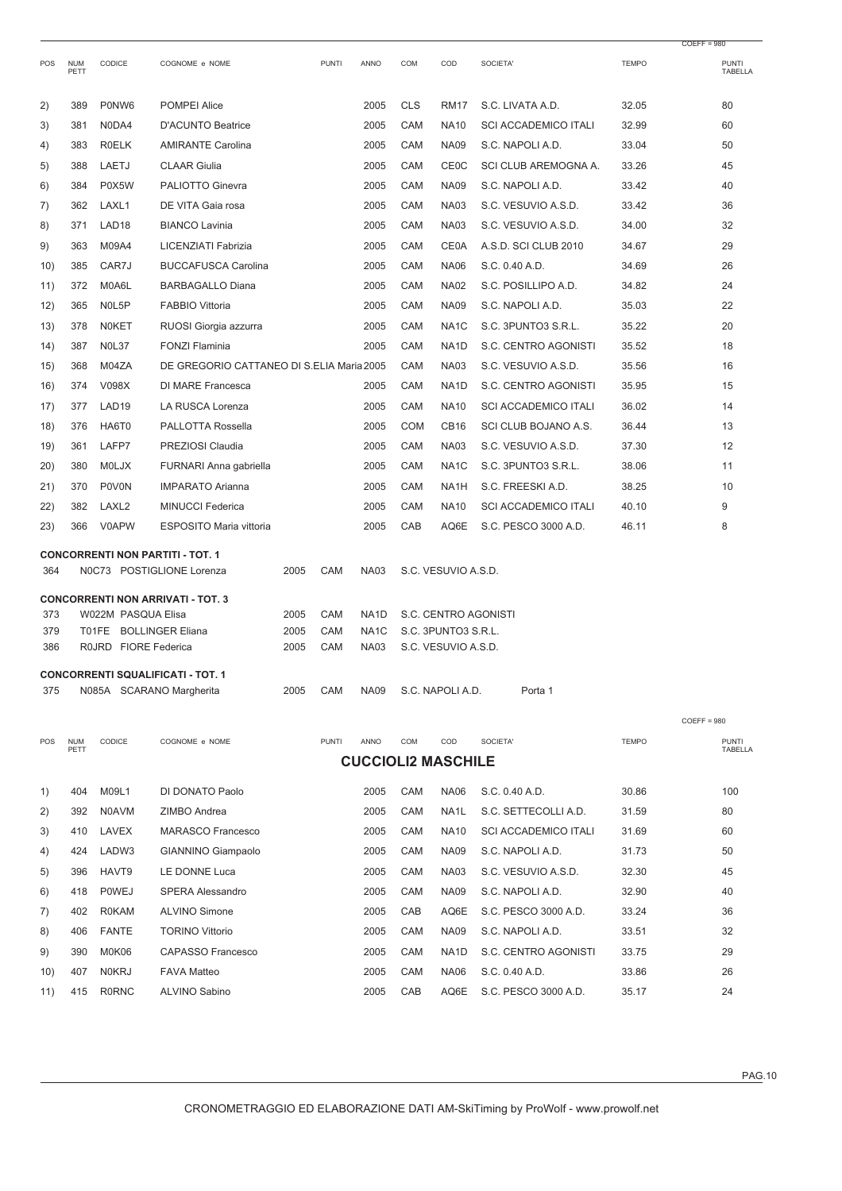|     |                    |                                              |                                                                      |      |              |                           |                                             |                     |                             |              | $COEFF = 980$           |  |
|-----|--------------------|----------------------------------------------|----------------------------------------------------------------------|------|--------------|---------------------------|---------------------------------------------|---------------------|-----------------------------|--------------|-------------------------|--|
| POS | <b>NUM</b><br>PETT | CODICE                                       | COGNOME e NOME                                                       |      | <b>PUNTI</b> | ANNO                      | COM                                         | COD                 | SOCIETA'                    | <b>TEMPO</b> | PUNTI<br>TABELLA        |  |
| 2)  | 389                | P0NW6                                        | <b>POMPEI Alice</b>                                                  |      |              | 2005                      | <b>CLS</b>                                  | <b>RM17</b>         | S.C. LIVATA A.D.            | 32.05        | 80                      |  |
| 3)  | 381                | N0DA4                                        | <b>D'ACUNTO Beatrice</b>                                             |      |              | 2005                      | CAM                                         | <b>NA10</b>         | <b>SCI ACCADEMICO ITALI</b> | 32.99        | 60                      |  |
| 4)  | 383                | <b>ROELK</b>                                 | <b>AMIRANTE Carolina</b>                                             |      |              | 2005                      | CAM                                         | <b>NA09</b>         | S.C. NAPOLI A.D.            | 33.04        | 50                      |  |
| 5)  | 388                | LAETJ                                        | <b>CLAAR Giulia</b>                                                  |      |              | 2005                      | CAM                                         | <b>CE0C</b>         | SCI CLUB AREMOGNA A.        | 33.26        | 45                      |  |
| 6)  | 384                | P0X5W                                        | PALIOTTO Ginevra                                                     |      |              | 2005                      | CAM                                         | <b>NA09</b>         | S.C. NAPOLI A.D.            | 33.42        | 40                      |  |
| 7)  | 362                | LAXL1                                        | DE VITA Gaia rosa                                                    |      |              | 2005                      | CAM                                         | <b>NA03</b>         | S.C. VESUVIO A.S.D.         | 33.42        | 36                      |  |
| 8)  | 371                | LAD <sub>18</sub>                            | <b>BIANCO Lavinia</b>                                                |      |              | 2005                      | CAM                                         | <b>NA03</b>         | S.C. VESUVIO A.S.D.         | 34.00        | 32                      |  |
| 9)  | 363                | M09A4                                        | LICENZIATI Fabrizia                                                  |      |              | 2005                      | CAM                                         | CE0A                | A.S.D. SCI CLUB 2010        | 34.67        | 29                      |  |
| 10) | 385                | CAR7J                                        | <b>BUCCAFUSCA Carolina</b>                                           |      |              | 2005                      | CAM                                         | <b>NA06</b>         | S.C. 0.40 A.D.              | 34.69        | 26                      |  |
| 11) | 372                | M0A6L                                        | <b>BARBAGALLO Diana</b>                                              |      |              | 2005                      | CAM                                         | <b>NA02</b>         | S.C. POSILLIPO A.D.         | 34.82        | 24                      |  |
| 12) | 365                | N0L5P                                        | <b>FABBIO Vittoria</b>                                               |      |              | 2005                      | CAM                                         | <b>NA09</b>         | S.C. NAPOLI A.D.            | 35.03        | 22                      |  |
| 13) | 378                | <b>NOKET</b>                                 | RUOSI Giorgia azzurra                                                |      |              | 2005                      | CAM                                         | NA <sub>1</sub> C   | S.C. 3PUNTO3 S.R.L.         | 35.22        | 20                      |  |
| 14) | 387                | <b>N0L37</b>                                 | <b>FONZI Flaminia</b>                                                |      |              | 2005                      | CAM                                         | NA <sub>1</sub> D   | S.C. CENTRO AGONISTI        | 35.52        | 18                      |  |
| 15) | 368                | M04ZA                                        | DE GREGORIO CATTANEO DI S.ELIA Maria 2005                            |      |              |                           | CAM                                         | <b>NA03</b>         | S.C. VESUVIO A.S.D.         | 35.56        | 16                      |  |
| 16) | 374                | V098X                                        | DI MARE Francesca                                                    |      |              | 2005                      | CAM                                         | NA <sub>1</sub> D   | S.C. CENTRO AGONISTI        | 35.95        | 15                      |  |
| 17) | 377                | LAD <sub>19</sub>                            | LA RUSCA Lorenza                                                     |      |              | 2005                      | CAM                                         | <b>NA10</b>         | <b>SCI ACCADEMICO ITALI</b> | 36.02        | 14                      |  |
| 18) | 376                | HA6T0                                        | PALLOTTA Rossella                                                    |      |              | 2005                      | <b>COM</b>                                  | CB <sub>16</sub>    | SCI CLUB BOJANO A.S.        | 36.44        | 13                      |  |
| 19) | 361                | LAFP7                                        | PREZIOSI Claudia                                                     |      |              | 2005                      | CAM                                         | <b>NA03</b>         | S.C. VESUVIO A.S.D.         | 37.30        | 12                      |  |
| 20) | 380                | <b>MOLJX</b>                                 | FURNARI Anna gabriella                                               |      |              | 2005                      | CAM                                         | NA <sub>1</sub> C   | S.C. 3PUNTO3 S.R.L.         | 38.06        | 11                      |  |
| 21) | 370                | <b>P0V0N</b>                                 | <b>IMPARATO Arianna</b>                                              |      |              | 2005                      | CAM                                         | NA <sub>1</sub> H   | S.C. FREESKI A.D.           | 38.25        | 10                      |  |
| 22) | 382                | LAXL2                                        | <b>MINUCCI Federica</b>                                              |      |              | 2005                      | CAM                                         | <b>NA10</b>         | <b>SCI ACCADEMICO ITALI</b> | 40.10        | 9                       |  |
| 23) | 366                | V0APW                                        | ESPOSITO Maria vittoria                                              |      |              | 2005                      | CAB                                         | AQ6E                | S.C. PESCO 3000 A.D.        | 46.11        | 8                       |  |
|     |                    |                                              |                                                                      |      |              |                           |                                             |                     |                             |              |                         |  |
| 364 |                    |                                              | <b>CONCORRENTI NON PARTITI - TOT. 1</b><br>N0C73 POSTIGLIONE Lorenza | 2005 | CAM          | <b>NA03</b>               |                                             | S.C. VESUVIO A.S.D. |                             |              |                         |  |
|     |                    |                                              |                                                                      |      |              |                           |                                             |                     |                             |              |                         |  |
| 373 |                    |                                              | <b>CONCORRENTI NON ARRIVATI - TOT. 3</b>                             | 2005 | CAM          | NA <sub>1</sub> D         |                                             |                     |                             |              |                         |  |
| 379 |                    | W022M PASQUA Elisa<br>T01FE BOLLINGER Eliana |                                                                      | 2005 | CAM          | NA <sub>1</sub> C         | S.C. CENTRO AGONISTI<br>S.C. 3PUNTO3 S.R.L. |                     |                             |              |                         |  |
| 386 |                    | R0JRD FIORE Federica                         |                                                                      | 2005 | CAM          | <b>NA03</b>               |                                             | S.C. VESUVIO A.S.D. |                             |              |                         |  |
|     |                    |                                              |                                                                      |      |              |                           |                                             |                     |                             |              |                         |  |
| 375 |                    |                                              | <b>CONCORRENTI SQUALIFICATI - TOT. 1</b><br>N085A SCARANO Margherita | 2005 | CAM          | <b>NA09</b>               |                                             | S.C. NAPOLI A.D.    | Porta 1                     |              |                         |  |
|     |                    |                                              |                                                                      |      |              |                           |                                             |                     |                             |              |                         |  |
|     |                    |                                              |                                                                      |      |              |                           |                                             |                     |                             |              | $COEFF = 980$           |  |
| POS | <b>NUM</b><br>PETT | CODICE                                       | COGNOME e NOME                                                       |      | <b>PUNTI</b> | ANNO                      | COM                                         | COD                 | SOCIETA'                    | <b>TEMPO</b> | <b>PUNTI</b><br>TABELLA |  |
|     |                    |                                              |                                                                      |      |              | <b>CUCCIOLI2 MASCHILE</b> |                                             |                     |                             |              |                         |  |
| 1)  | 404                | M09L1                                        | DI DONATO Paolo                                                      |      |              | 2005                      | CAM                                         | <b>NA06</b>         | S.C. 0.40 A.D.              | 30.86        | 100                     |  |
| 2)  | 392                | <b>N0AVM</b>                                 | ZIMBO Andrea                                                         |      |              | 2005                      | CAM                                         | NA <sub>1</sub> L   | S.C. SETTECOLLI A.D.        | 31.59        | 80                      |  |
| 3)  | 410                | LAVEX                                        | <b>MARASCO Francesco</b>                                             |      |              | 2005                      | CAM                                         | <b>NA10</b>         | <b>SCI ACCADEMICO ITALI</b> | 31.69        | 60                      |  |
| 4)  | 424                | LADW3                                        | GIANNINO Giampaolo                                                   |      |              | 2005                      | CAM                                         | <b>NA09</b>         | S.C. NAPOLI A.D.            | 31.73        | 50                      |  |
| 5)  | 396                | HAVT9                                        | LE DONNE Luca                                                        |      |              | 2005                      | CAM                                         | <b>NA03</b>         | S.C. VESUVIO A.S.D.         | 32.30        | 45                      |  |
| 6)  | 418                | <b>POWEJ</b>                                 | <b>SPERA Alessandro</b>                                              |      |              | 2005                      | CAM                                         | <b>NA09</b>         | S.C. NAPOLI A.D.            | 32.90        | 40                      |  |
| 7)  | 402                | <b>R0KAM</b>                                 | <b>ALVINO Simone</b>                                                 |      |              | 2005                      | CAB                                         | AQ6E                | S.C. PESCO 3000 A.D.        | 33.24        | 36                      |  |
| 8)  | 406                | <b>FANTE</b>                                 | <b>TORINO Vittorio</b>                                               |      |              | 2005                      | CAM                                         | <b>NA09</b>         | S.C. NAPOLI A.D.            | 33.51        | 32                      |  |
| 9)  | 390                | M0K06                                        | CAPASSO Francesco                                                    |      |              | 2005                      | CAM                                         | NA <sub>1</sub> D   | S.C. CENTRO AGONISTI        | 33.75        | 29                      |  |
| 10) | 407                | <b>N0KRJ</b>                                 | <b>FAVA Matteo</b>                                                   |      |              | 2005                      | CAM                                         | NA06                | S.C. 0.40 A.D.              | 33.86        | 26                      |  |
| 11) | 415                | <b>R0RNC</b>                                 | ALVINO Sabino                                                        |      |              | 2005                      | CAB                                         | AQ6E                | S.C. PESCO 3000 A.D.        | 35.17        | 24                      |  |
|     |                    |                                              |                                                                      |      |              |                           |                                             |                     |                             |              |                         |  |